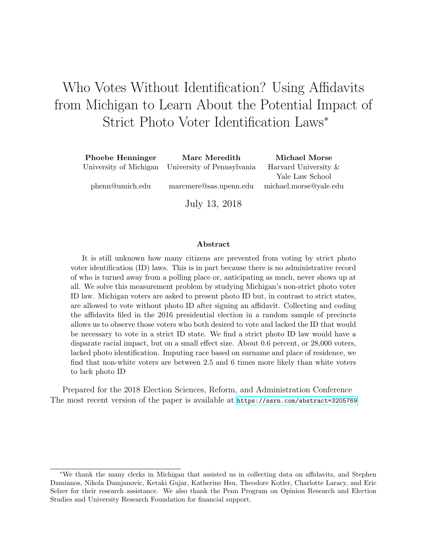# Who Votes Without Identification? Using Affidavits from Michigan to Learn About the Potential Impact of Strict Photo Voter Identification Laws<sup>∗</sup>

| <b>Phoebe Henninger</b> | Marc Meredith                                     | Michael Morse          |
|-------------------------|---------------------------------------------------|------------------------|
|                         | University of Michigan University of Pennsylvania | Harvard University &   |
|                         |                                                   | Yale Law School        |
| phenn@umich.edu         | marcmere@sas.upenn.edu                            | michael.morse@yale.edu |
|                         | July 13, 2018                                     |                        |

#### Abstract

It is still unknown how many citizens are prevented from voting by strict photo voter identification (ID) laws. This is in part because there is no administrative record of who is turned away from a polling place or, anticipating as much, never shows up at all. We solve this measurement problem by studying Michigan's non-strict photo voter ID law. Michigan voters are asked to present photo ID but, in contrast to strict states, are allowed to vote without photo ID after signing an affidavit. Collecting and coding the affidavits filed in the 2016 presidential election in a random sample of precincts allows us to observe those voters who both desired to vote and lacked the ID that would be necessary to vote in a strict ID state. We find a strict photo ID law would have a disparate racial impact, but on a small effect size. About 0.6 percent, or 28,000 voters, lacked photo identification. Imputing race based on surname and place of residence, we find that non-white voters are between 2.5 and 6 times more likely than white voters to lack photo ID

Prepared for the 2018 Election Sciences, Reform, and Administration Conference The most recent version of the paper is available at <https://ssrn.com/abstract=3205769>

<sup>∗</sup>We thank the many clerks in Michigan that assisted us in collecting data on affidavits, and Stephen Damianos, Nikola Damjanovic, Ketaki Gujar, Katherine Hsu, Theodore Kotler, Charlotte Laracy, and Eric Selzer for their research assistance. We also thank the Penn Program on Opinion Research and Election Studies and University Research Foundation for financial support.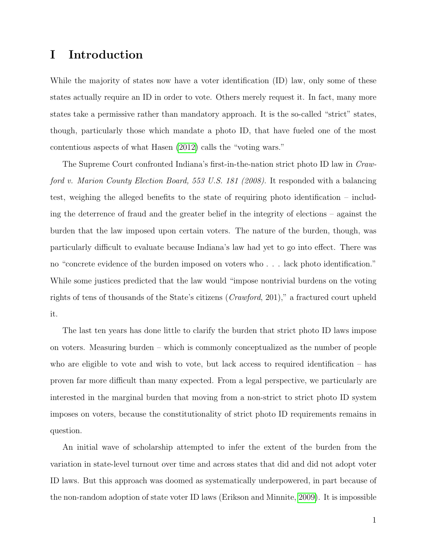## I Introduction

While the majority of states now have a voter identification (ID) law, only some of these states actually require an ID in order to vote. Others merely request it. In fact, many more states take a permissive rather than mandatory approach. It is the so-called "strict" states, though, particularly those which mandate a photo ID, that have fueled one of the most contentious aspects of what Hasen [\(2012\)](#page-33-0) calls the "voting wars."

The Supreme Court confronted Indiana's first-in-the-nation strict photo ID law in Crawford v. Marion County Election Board, 553 U.S. 181 (2008). It responded with a balancing test, weighing the alleged benefits to the state of requiring photo identification – including the deterrence of fraud and the greater belief in the integrity of elections – against the burden that the law imposed upon certain voters. The nature of the burden, though, was particularly difficult to evaluate because Indiana's law had yet to go into effect. There was no "concrete evidence of the burden imposed on voters who . . . lack photo identification." While some justices predicted that the law would "impose nontrivial burdens on the voting rights of tens of thousands of the State's citizens (Crawford, 201)," a fractured court upheld it.

The last ten years has done little to clarify the burden that strict photo ID laws impose on voters. Measuring burden – which is commonly conceptualized as the number of people who are eligible to vote and wish to vote, but lack access to required identification – has proven far more difficult than many expected. From a legal perspective, we particularly are interested in the marginal burden that moving from a non-strict to strict photo ID system imposes on voters, because the constitutionality of strict photo ID requirements remains in question.

An initial wave of scholarship attempted to infer the extent of the burden from the variation in state-level turnout over time and across states that did and did not adopt voter ID laws. But this approach was doomed as systematically underpowered, in part because of the non-random adoption of state voter ID laws (Erikson and Minnite, [2009\)](#page-32-0). It is impossible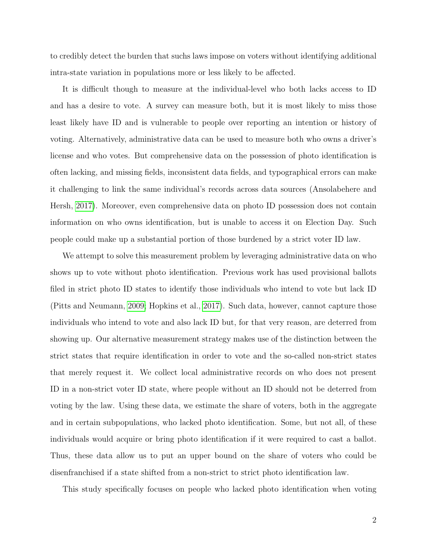to credibly detect the burden that suchs laws impose on voters without identifying additional intra-state variation in populations more or less likely to be affected.

It is difficult though to measure at the individual-level who both lacks access to ID and has a desire to vote. A survey can measure both, but it is most likely to miss those least likely have ID and is vulnerable to people over reporting an intention or history of voting. Alternatively, administrative data can be used to measure both who owns a driver's license and who votes. But comprehensive data on the possession of photo identification is often lacking, and missing fields, inconsistent data fields, and typographical errors can make it challenging to link the same individual's records across data sources (Ansolabehere and Hersh, [2017\)](#page-32-1). Moreover, even comprehensive data on photo ID possession does not contain information on who owns identification, but is unable to access it on Election Day. Such people could make up a substantial portion of those burdened by a strict voter ID law.

We attempt to solve this measurement problem by leveraging administrative data on who shows up to vote without photo identification. Previous work has used provisional ballots filed in strict photo ID states to identify those individuals who intend to vote but lack ID (Pitts and Neumann, [2009;](#page-34-0) Hopkins et al., [2017\)](#page-33-1). Such data, however, cannot capture those individuals who intend to vote and also lack ID but, for that very reason, are deterred from showing up. Our alternative measurement strategy makes use of the distinction between the strict states that require identification in order to vote and the so-called non-strict states that merely request it. We collect local administrative records on who does not present ID in a non-strict voter ID state, where people without an ID should not be deterred from voting by the law. Using these data, we estimate the share of voters, both in the aggregate and in certain subpopulations, who lacked photo identification. Some, but not all, of these individuals would acquire or bring photo identification if it were required to cast a ballot. Thus, these data allow us to put an upper bound on the share of voters who could be disenfranchised if a state shifted from a non-strict to strict photo identification law.

This study specifically focuses on people who lacked photo identification when voting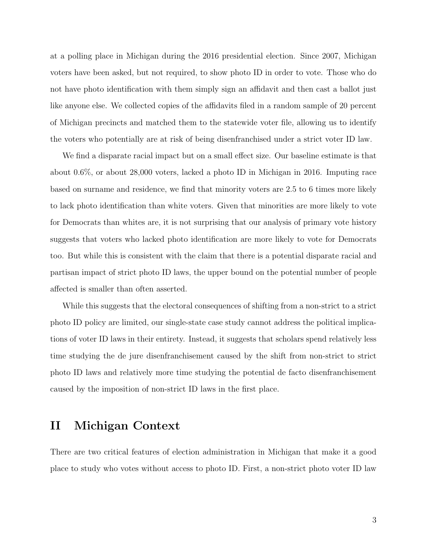at a polling place in Michigan during the 2016 presidential election. Since 2007, Michigan voters have been asked, but not required, to show photo ID in order to vote. Those who do not have photo identification with them simply sign an affidavit and then cast a ballot just like anyone else. We collected copies of the affidavits filed in a random sample of 20 percent of Michigan precincts and matched them to the statewide voter file, allowing us to identify the voters who potentially are at risk of being disenfranchised under a strict voter ID law.

We find a disparate racial impact but on a small effect size. Our baseline estimate is that about 0.6%, or about 28,000 voters, lacked a photo ID in Michigan in 2016. Imputing race based on surname and residence, we find that minority voters are 2.5 to 6 times more likely to lack photo identification than white voters. Given that minorities are more likely to vote for Democrats than whites are, it is not surprising that our analysis of primary vote history suggests that voters who lacked photo identification are more likely to vote for Democrats too. But while this is consistent with the claim that there is a potential disparate racial and partisan impact of strict photo ID laws, the upper bound on the potential number of people affected is smaller than often asserted.

While this suggests that the electoral consequences of shifting from a non-strict to a strict photo ID policy are limited, our single-state case study cannot address the political implications of voter ID laws in their entirety. Instead, it suggests that scholars spend relatively less time studying the de jure disenfranchisement caused by the shift from non-strict to strict photo ID laws and relatively more time studying the potential de facto disenfranchisement caused by the imposition of non-strict ID laws in the first place.

## II Michigan Context

There are two critical features of election administration in Michigan that make it a good place to study who votes without access to photo ID. First, a non-strict photo voter ID law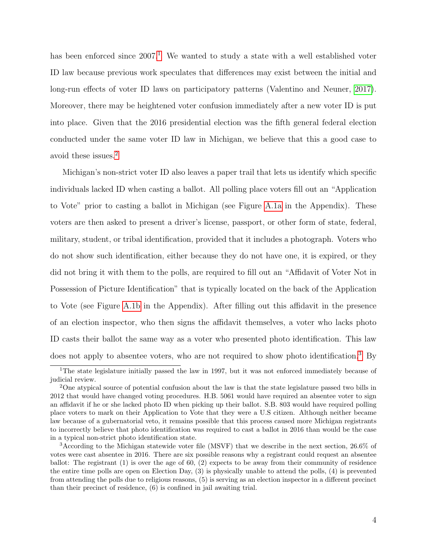has been enforced since  $2007<sup>1</sup>$  $2007<sup>1</sup>$  $2007<sup>1</sup>$ . We wanted to study a state with a well established voter ID law because previous work speculates that differences may exist between the initial and long-run effects of voter ID laws on participatory patterns (Valentino and Neuner, [2017\)](#page-34-1). Moreover, there may be heightened voter confusion immediately after a new voter ID is put into place. Given that the 2016 presidential election was the fifth general federal election conducted under the same voter ID law in Michigan, we believe that this a good case to avoid these issues.[2](#page-4-1)

Michigan's non-strict voter ID also leaves a paper trail that lets us identify which specific individuals lacked ID when casting a ballot. All polling place voters fill out an "Application to Vote" prior to casting a ballot in Michigan (see Figure [A.1a](#page-36-0) in the Appendix). These voters are then asked to present a driver's license, passport, or other form of state, federal, military, student, or tribal identification, provided that it includes a photograph. Voters who do not show such identification, either because they do not have one, it is expired, or they did not bring it with them to the polls, are required to fill out an "Affidavit of Voter Not in Possession of Picture Identification" that is typically located on the back of the Application to Vote (see Figure [A.1b](#page-36-0) in the Appendix). After filling out this affidavit in the presence of an election inspector, who then signs the affidavit themselves, a voter who lacks photo ID casts their ballot the same way as a voter who presented photo identification. This law does not apply to absentee voters, who are not required to show photo identification.[3](#page-4-2) By

<span id="page-4-0"></span><sup>1</sup>The state legislature initially passed the law in 1997, but it was not enforced immediately because of judicial review.

<span id="page-4-1"></span><sup>&</sup>lt;sup>2</sup>One atypical source of potential confusion about the law is that the state legislature passed two bills in 2012 that would have changed voting procedures. H.B. 5061 would have required an absentee voter to sign an affidavit if he or she lacked photo ID when picking up their ballot. S.B. 803 would have required polling place voters to mark on their Application to Vote that they were a U.S citizen. Although neither became law because of a gubernatorial veto, it remains possible that this process caused more Michigan registrants to incorrectly believe that photo identification was required to cast a ballot in 2016 than would be the case in a typical non-strict photo identification state.

<span id="page-4-2"></span><sup>3</sup>According to the Michigan statewide voter file (MSVF) that we describe in the next section, 26.6% of votes were cast absentee in 2016. There are six possible reasons why a registrant could request an absentee ballot: The registrant (1) is over the age of 60, (2) expects to be away from their community of residence the entire time polls are open on Election Day, (3) is physically unable to attend the polls, (4) is prevented from attending the polls due to religious reasons, (5) is serving as an election inspector in a different precinct than their precinct of residence, (6) is confined in jail awaiting trial.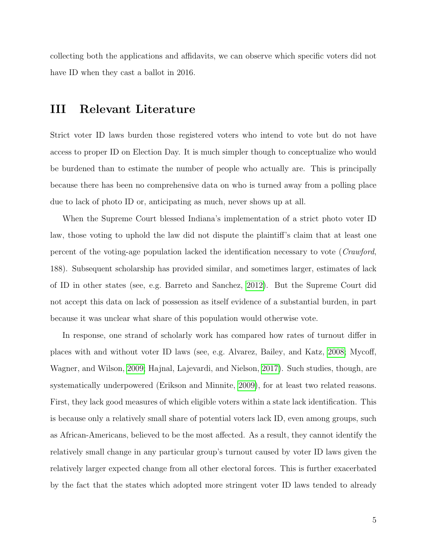collecting both the applications and affidavits, we can observe which specific voters did not have ID when they cast a ballot in 2016.

## III Relevant Literature

Strict voter ID laws burden those registered voters who intend to vote but do not have access to proper ID on Election Day. It is much simpler though to conceptualize who would be burdened than to estimate the number of people who actually are. This is principally because there has been no comprehensive data on who is turned away from a polling place due to lack of photo ID or, anticipating as much, never shows up at all.

When the Supreme Court blessed Indiana's implementation of a strict photo voter ID law, those voting to uphold the law did not dispute the plaintiff's claim that at least one percent of the voting-age population lacked the identification necessary to vote (Crawford, 188). Subsequent scholarship has provided similar, and sometimes larger, estimates of lack of ID in other states (see, e.g. Barreto and Sanchez, [2012\)](#page-32-2). But the Supreme Court did not accept this data on lack of possession as itself evidence of a substantial burden, in part because it was unclear what share of this population would otherwise vote.

In response, one strand of scholarly work has compared how rates of turnout differ in places with and without voter ID laws (see, e.g. Alvarez, Bailey, and Katz, [2008;](#page-32-3) Mycoff, Wagner, and Wilson, [2009;](#page-34-2) Hajnal, Lajevardi, and Nielson, [2017\)](#page-33-2). Such studies, though, are systematically underpowered (Erikson and Minnite, [2009\)](#page-32-0), for at least two related reasons. First, they lack good measures of which eligible voters within a state lack identification. This is because only a relatively small share of potential voters lack ID, even among groups, such as African-Americans, believed to be the most affected. As a result, they cannot identify the relatively small change in any particular group's turnout caused by voter ID laws given the relatively larger expected change from all other electoral forces. This is further exacerbated by the fact that the states which adopted more stringent voter ID laws tended to already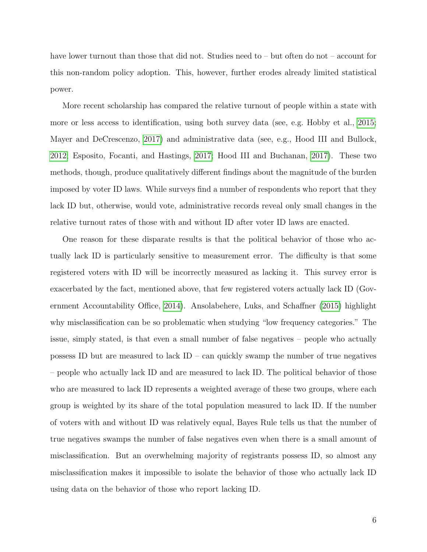have lower turnout than those that did not. Studies need to – but often do not – account for this non-random policy adoption. This, however, further erodes already limited statistical power.

More recent scholarship has compared the relative turnout of people within a state with more or less access to identification, using both survey data (see, e.g. Hobby et al., [2015;](#page-33-3) Mayer and DeCrescenzo, [2017\)](#page-33-4) and administrative data (see, e.g., Hood III and Bullock, [2012;](#page-33-5) Esposito, Focanti, and Hastings, [2017;](#page-32-4) Hood III and Buchanan, [2017\)](#page-33-6). These two methods, though, produce qualitatively different findings about the magnitude of the burden imposed by voter ID laws. While surveys find a number of respondents who report that they lack ID but, otherwise, would vote, administrative records reveal only small changes in the relative turnout rates of those with and without ID after voter ID laws are enacted.

One reason for these disparate results is that the political behavior of those who actually lack ID is particularly sensitive to measurement error. The difficulty is that some registered voters with ID will be incorrectly measured as lacking it. This survey error is exacerbated by the fact, mentioned above, that few registered voters actually lack ID (Government Accountability Office, [2014\)](#page-33-7). Ansolabehere, Luks, and Schaffner [\(2015\)](#page-32-5) highlight why misclassification can be so problematic when studying "low frequency categories." The issue, simply stated, is that even a small number of false negatives – people who actually possess ID but are measured to lack  $ID - can quickly swap the number of true negatives$ – people who actually lack ID and are measured to lack ID. The political behavior of those who are measured to lack ID represents a weighted average of these two groups, where each group is weighted by its share of the total population measured to lack ID. If the number of voters with and without ID was relatively equal, Bayes Rule tells us that the number of true negatives swamps the number of false negatives even when there is a small amount of misclassification. But an overwhelming majority of registrants possess ID, so almost any misclassification makes it impossible to isolate the behavior of those who actually lack ID using data on the behavior of those who report lacking ID.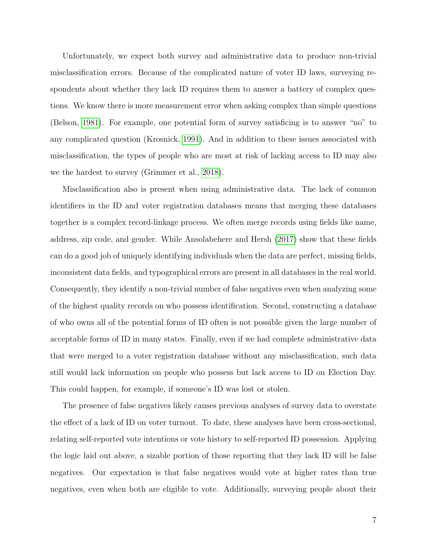Unfortunately, we expect both survey and administrative data to produce non-trivial misclassification errors. Because of the complicated nature of voter ID laws, surveying respondents about whether they lack ID requires them to answer a battery of complex questions. We know there is more measurement error when asking complex than simple questions (Belson, [1981\)](#page-32-6). For example, one potential form of survey satisficing is to answer "no" to any complicated question (Krosnick, [1991\)](#page-33-8). And in addition to these issues associated with misclassification, the types of people who are most at risk of lacking access to ID may also we the hardest to survey (Grimmer et al., [2018\)](#page-33-9).

Misclassification also is present when using administrative data. The lack of common identifiers in the ID and voter registration databases means that merging these databases together is a complex record-linkage process. We often merge records using fields like name, address, zip code, and gender. While Ansolabehere and Hersh [\(2017\)](#page-32-1) show that these fields can do a good job of uniquely identifying individuals when the data are perfect, missing fields, inconsistent data fields, and typographical errors are present in all databases in the real world. Consequently, they identify a non-trivial number of false negatives even when analyzing some of the highest quality records on who possess identification. Second, constructing a database of who owns all of the potential forms of ID often is not possible given the large number of acceptable forms of ID in many states. Finally, even if we had complete administrative data that were merged to a voter registration database without any misclassification, such data still would lack information on people who possess but lack access to ID on Election Day. This could happen, for example, if someone's ID was lost or stolen.

The presence of false negatives likely causes previous analyses of survey data to overstate the effect of a lack of ID on voter turnout. To date, these analyses have been cross-sectional, relating self-reported vote intentions or vote history to self-reported ID possession. Applying the logic laid out above, a sizable portion of those reporting that they lack ID will be false negatives. Our expectation is that false negatives would vote at higher rates than true negatives, even when both are eligible to vote. Additionally, surveying people about their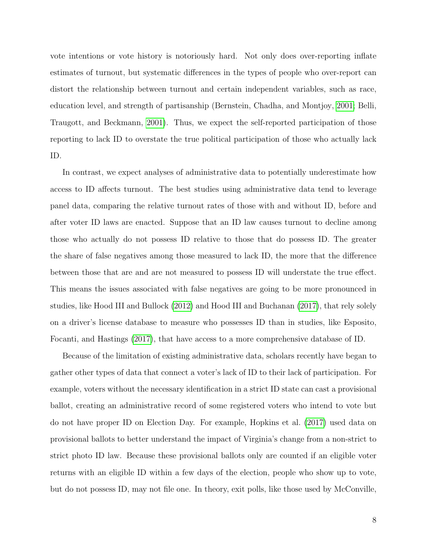vote intentions or vote history is notoriously hard. Not only does over-reporting inflate estimates of turnout, but systematic differences in the types of people who over-report can distort the relationship between turnout and certain independent variables, such as race, education level, and strength of partisanship (Bernstein, Chadha, and Montjoy, [2001;](#page-32-7) Belli, Traugott, and Beckmann, [2001\)](#page-32-8). Thus, we expect the self-reported participation of those reporting to lack ID to overstate the true political participation of those who actually lack ID.

In contrast, we expect analyses of administrative data to potentially underestimate how access to ID affects turnout. The best studies using administrative data tend to leverage panel data, comparing the relative turnout rates of those with and without ID, before and after voter ID laws are enacted. Suppose that an ID law causes turnout to decline among those who actually do not possess ID relative to those that do possess ID. The greater the share of false negatives among those measured to lack ID, the more that the difference between those that are and are not measured to possess ID will understate the true effect. This means the issues associated with false negatives are going to be more pronounced in studies, like Hood III and Bullock [\(2012\)](#page-33-5) and Hood III and Buchanan [\(2017\)](#page-33-6), that rely solely on a driver's license database to measure who possesses ID than in studies, like Esposito, Focanti, and Hastings [\(2017\)](#page-32-4), that have access to a more comprehensive database of ID.

Because of the limitation of existing administrative data, scholars recently have began to gather other types of data that connect a voter's lack of ID to their lack of participation. For example, voters without the necessary identification in a strict ID state can cast a provisional ballot, creating an administrative record of some registered voters who intend to vote but do not have proper ID on Election Day. For example, Hopkins et al. [\(2017\)](#page-33-1) used data on provisional ballots to better understand the impact of Virginia's change from a non-strict to strict photo ID law. Because these provisional ballots only are counted if an eligible voter returns with an eligible ID within a few days of the election, people who show up to vote, but do not possess ID, may not file one. In theory, exit polls, like those used by McConville,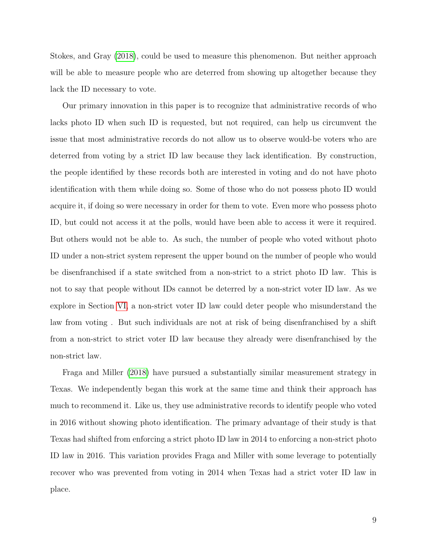Stokes, and Gray [\(2018\)](#page-34-3), could be used to measure this phenomenon. But neither approach will be able to measure people who are deterred from showing up altogether because they lack the ID necessary to vote.

Our primary innovation in this paper is to recognize that administrative records of who lacks photo ID when such ID is requested, but not required, can help us circumvent the issue that most administrative records do not allow us to observe would-be voters who are deterred from voting by a strict ID law because they lack identification. By construction, the people identified by these records both are interested in voting and do not have photo identification with them while doing so. Some of those who do not possess photo ID would acquire it, if doing so were necessary in order for them to vote. Even more who possess photo ID, but could not access it at the polls, would have been able to access it were it required. But others would not be able to. As such, the number of people who voted without photo ID under a non-strict system represent the upper bound on the number of people who would be disenfranchised if a state switched from a non-strict to a strict photo ID law. This is not to say that people without IDs cannot be deterred by a non-strict voter ID law. As we explore in Section [VI,](#page-26-0) a non-strict voter ID law could deter people who misunderstand the law from voting . But such individuals are not at risk of being disenfranchised by a shift from a non-strict to strict voter ID law because they already were disenfranchised by the non-strict law.

Fraga and Miller [\(2018\)](#page-33-10) have pursued a substantially similar measurement strategy in Texas. We independently began this work at the same time and think their approach has much to recommend it. Like us, they use administrative records to identify people who voted in 2016 without showing photo identification. The primary advantage of their study is that Texas had shifted from enforcing a strict photo ID law in 2014 to enforcing a non-strict photo ID law in 2016. This variation provides Fraga and Miller with some leverage to potentially recover who was prevented from voting in 2014 when Texas had a strict voter ID law in place.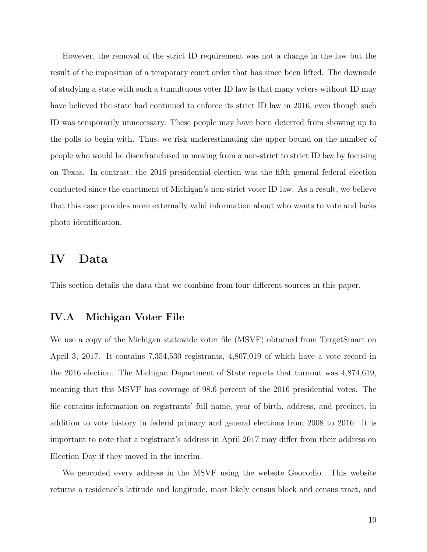However, the removal of the strict ID requirement was not a change in the law but the result of the imposition of a temporary court order that has since been lifted. The downside of studying a state with such a tumultuous voter ID law is that many voters without ID may have believed the state had continued to enforce its strict ID law in 2016, even though such ID was temporarily unnecessary. These people may have been deterred from showing up to the polls to begin with. Thus, we risk underestimating the upper bound on the number of people who would be disenfranchised in moving from a non-strict to strict ID law by focusing on Texas. In contrast, the 2016 presidential election was the fifth general federal election conducted since the enactment of Michigan's non-strict voter ID law. As a result, we believe that this case provides more externally valid information about who wants to vote and lacks photo identification.

## IV Data

This section details the data that we combine from four different sources in this paper.

#### IV.A Michigan Voter File

We use a copy of the Michigan statewide voter file (MSVF) obtained from TargetSmart on April 3, 2017. It contains 7,354,530 registrants, 4,807,019 of which have a vote record in the 2016 election. The Michigan Department of State reports that turnout was 4,874,619, meaning that this MSVF has coverage of 98.6 percent of the 2016 presidential votes. The file contains information on registrants' full name, year of birth, address, and precinct, in addition to vote history in federal primary and general elections from 2008 to 2016. It is important to note that a registrant's address in April 2017 may differ from their address on Election Day if they moved in the interim.

We geocoded every address in the MSVF using the website Geocodio. This website returns a residence's latitude and longitude, most likely census block and census tract, and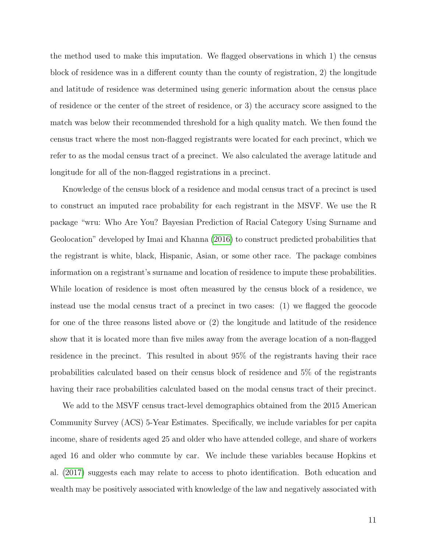the method used to make this imputation. We flagged observations in which 1) the census block of residence was in a different county than the county of registration, 2) the longitude and latitude of residence was determined using generic information about the census place of residence or the center of the street of residence, or 3) the accuracy score assigned to the match was below their recommended threshold for a high quality match. We then found the census tract where the most non-flagged registrants were located for each precinct, which we refer to as the modal census tract of a precinct. We also calculated the average latitude and longitude for all of the non-flagged registrations in a precinct.

Knowledge of the census block of a residence and modal census tract of a precinct is used to construct an imputed race probability for each registrant in the MSVF. We use the R package "wru: Who Are You? Bayesian Prediction of Racial Category Using Surname and Geolocation" developed by Imai and Khanna [\(2016\)](#page-33-11) to construct predicted probabilities that the registrant is white, black, Hispanic, Asian, or some other race. The package combines information on a registrant's surname and location of residence to impute these probabilities. While location of residence is most often measured by the census block of a residence, we instead use the modal census tract of a precinct in two cases: (1) we flagged the geocode for one of the three reasons listed above or (2) the longitude and latitude of the residence show that it is located more than five miles away from the average location of a non-flagged residence in the precinct. This resulted in about 95% of the registrants having their race probabilities calculated based on their census block of residence and 5% of the registrants having their race probabilities calculated based on the modal census tract of their precinct.

We add to the MSVF census tract-level demographics obtained from the 2015 American Community Survey (ACS) 5-Year Estimates. Specifically, we include variables for per capita income, share of residents aged 25 and older who have attended college, and share of workers aged 16 and older who commute by car. We include these variables because Hopkins et al. [\(2017\)](#page-33-1) suggests each may relate to access to photo identification. Both education and wealth may be positively associated with knowledge of the law and negatively associated with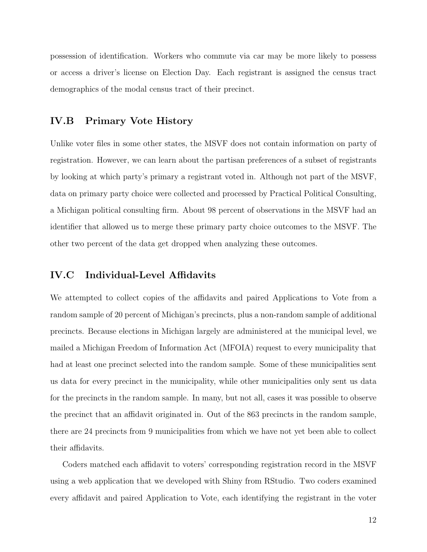possession of identification. Workers who commute via car may be more likely to possess or access a driver's license on Election Day. Each registrant is assigned the census tract demographics of the modal census tract of their precinct.

#### IV.B Primary Vote History

Unlike voter files in some other states, the MSVF does not contain information on party of registration. However, we can learn about the partisan preferences of a subset of registrants by looking at which party's primary a registrant voted in. Although not part of the MSVF, data on primary party choice were collected and processed by Practical Political Consulting, a Michigan political consulting firm. About 98 percent of observations in the MSVF had an identifier that allowed us to merge these primary party choice outcomes to the MSVF. The other two percent of the data get dropped when analyzing these outcomes.

#### IV.C Individual-Level Affidavits

We attempted to collect copies of the affidavits and paired Applications to Vote from a random sample of 20 percent of Michigan's precincts, plus a non-random sample of additional precincts. Because elections in Michigan largely are administered at the municipal level, we mailed a Michigan Freedom of Information Act (MFOIA) request to every municipality that had at least one precinct selected into the random sample. Some of these municipalities sent us data for every precinct in the municipality, while other municipalities only sent us data for the precincts in the random sample. In many, but not all, cases it was possible to observe the precinct that an affidavit originated in. Out of the 863 precincts in the random sample, there are 24 precincts from 9 municipalities from which we have not yet been able to collect their affidavits.

Coders matched each affidavit to voters' corresponding registration record in the MSVF using a web application that we developed with Shiny from RStudio. Two coders examined every affidavit and paired Application to Vote, each identifying the registrant in the voter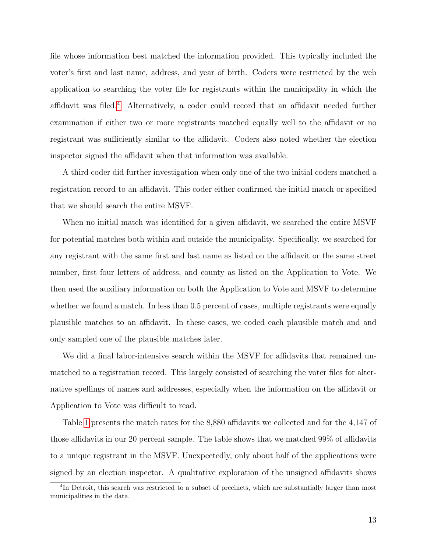file whose information best matched the information provided. This typically included the voter's first and last name, address, and year of birth. Coders were restricted by the web application to searching the voter file for registrants within the municipality in which the affidavit was filed.[4](#page-13-0) Alternatively, a coder could record that an affidavit needed further examination if either two or more registrants matched equally well to the affidavit or no registrant was sufficiently similar to the affidavit. Coders also noted whether the election inspector signed the affidavit when that information was available.

A third coder did further investigation when only one of the two initial coders matched a registration record to an affidavit. This coder either confirmed the initial match or specified that we should search the entire MSVF.

When no initial match was identified for a given affidavit, we searched the entire MSVF for potential matches both within and outside the municipality. Specifically, we searched for any registrant with the same first and last name as listed on the affidavit or the same street number, first four letters of address, and county as listed on the Application to Vote. We then used the auxiliary information on both the Application to Vote and MSVF to determine whether we found a match. In less than 0.5 percent of cases, multiple registrants were equally plausible matches to an affidavit. In these cases, we coded each plausible match and and only sampled one of the plausible matches later.

We did a final labor-intensive search within the MSVF for affidavits that remained unmatched to a registration record. This largely consisted of searching the voter files for alternative spellings of names and addresses, especially when the information on the affidavit or Application to Vote was difficult to read.

Table [1](#page-14-0) presents the match rates for the 8,880 affidavits we collected and for the 4,147 of those affidavits in our 20 percent sample. The table shows that we matched 99% of affidavits to a unique registrant in the MSVF. Unexpectedly, only about half of the applications were signed by an election inspector. A qualitative exploration of the unsigned affidavits shows

<span id="page-13-0"></span><sup>&</sup>lt;sup>4</sup>In Detroit, this search was restricted to a subset of precincts, which are substantially larger than most municipalities in the data.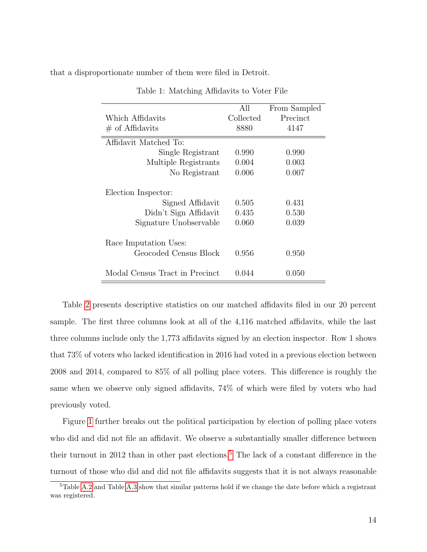<span id="page-14-0"></span>that a disproportionate number of them were filed in Detroit.

|                                                | All       | From Sampled |
|------------------------------------------------|-----------|--------------|
| Which Affidavits                               | Collected | Precinct     |
| $\#$ of Affidavits                             | 8880      | 4147         |
| Affidavit Matched To:                          |           |              |
| Single Registrant                              | 0.990     | 0.990        |
| Multiple Registrants                           | 0.004     | 0.003        |
| No Registrant                                  | 0.006     | 0.007        |
| Election Inspector:                            |           |              |
| Signed Affidavit                               | 0.505     | 0.431        |
| Didn't Sign Affidavit                          | 0.435     | 0.530        |
| Signature Unobservable                         | 0.060     | 0.039        |
| Race Imputation Uses:<br>Geocoded Census Block | 0.956     | 0.950        |
| Modal Census Tract in Precinct                 | 0.044     | 0.050        |

Table 1: Matching Affidavits to Voter File

Table [2](#page-15-0) presents descriptive statistics on our matched affidavits filed in our 20 percent sample. The first three columns look at all of the 4,116 matched affidavits, while the last three columns include only the 1,773 affidavits signed by an election inspector. Row 1 shows that 73% of voters who lacked identification in 2016 had voted in a previous election between 2008 and 2014, compared to 85% of all polling place voters. This difference is roughly the same when we observe only signed affidavits, 74% of which were filed by voters who had previously voted.

Figure [1](#page-16-0) further breaks out the political participation by election of polling place voters who did and did not file an affidavit. We observe a substantially smaller difference between their turnout in 2012 than in other past elections.<sup>[5](#page-14-1)</sup> The lack of a constant difference in the turnout of those who did and did not file affidavits suggests that it is not always reasonable

<span id="page-14-1"></span><sup>5</sup>Table [A.2](#page-37-0) and Table [A.3](#page-38-0) show that similar patterns hold if we change the date before which a registrant was registered.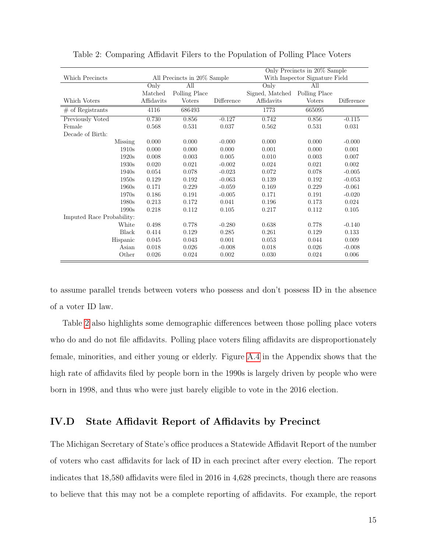<span id="page-15-0"></span>

|                           | Only Precincts in 20% Sample |               |                                                               |                 |               |            |  |
|---------------------------|------------------------------|---------------|---------------------------------------------------------------|-----------------|---------------|------------|--|
| Which Precincts           |                              |               | With Inspector Signature Field<br>All Precincts in 20% Sample |                 |               |            |  |
|                           | Only                         | All           |                                                               | Only            | All           |            |  |
|                           | Matched                      | Polling Place |                                                               | Signed, Matched | Polling Place |            |  |
| Which Voters              | Affidavits                   | <b>Voters</b> | Difference                                                    | Affidavits      | <b>Voters</b> | Difference |  |
| $#$ of Registrants        | 4116                         | 686493        |                                                               | 1773            | 665095        |            |  |
| Previously Voted          | 0.730                        | 0.856         | $-0.127$                                                      | 0.742           | 0.856         | $-0.115$   |  |
| Female                    | 0.568                        | 0.531         | 0.037                                                         | 0.562           | 0.531         | 0.031      |  |
| Decade of Birth:          |                              |               |                                                               |                 |               |            |  |
| Missing                   | 0.000                        | 0.000         | $-0.000$                                                      | 0.000           | 0.000         | $-0.000$   |  |
| 1910s                     | 0.000                        | 0.000         | 0.000                                                         | 0.001           | 0.000         | 0.001      |  |
| 1920s                     | 0.008                        | 0.003         | 0.005                                                         | 0.010           | 0.003         | 0.007      |  |
| 1930s                     | 0.020                        | 0.021         | $-0.002$                                                      | 0.024           | 0.021         | 0.002      |  |
| 1940s                     | 0.054                        | 0.078         | $-0.023$                                                      | 0.072           | 0.078         | $-0.005$   |  |
| 1950s                     | 0.129                        | 0.192         | $-0.063$                                                      | 0.139           | 0.192         | $-0.053$   |  |
| 1960s                     | 0.171                        | 0.229         | $-0.059$                                                      | 0.169           | 0.229         | $-0.061$   |  |
| 1970s                     | 0.186                        | 0.191         | $-0.005$                                                      | 0.171           | 0.191         | $-0.020$   |  |
| 1980s                     | 0.213                        | 0.172         | 0.041                                                         | 0.196           | 0.173         | 0.024      |  |
| 1990s                     | 0.218                        | 0.112         | 0.105                                                         | 0.217           | 0.112         | 0.105      |  |
| Imputed Race Probability: |                              |               |                                                               |                 |               |            |  |
| White                     | 0.498                        | 0.778         | $-0.280$                                                      | 0.638           | 0.778         | $-0.140$   |  |
| <b>Black</b>              | 0.414                        | 0.129         | 0.285                                                         | 0.261           | 0.129         | 0.133      |  |
| Hispanic                  | 0.045                        | 0.043         | 0.001                                                         | 0.053           | 0.044         | 0.009      |  |
| Asian                     | 0.018                        | 0.026         | $-0.008$                                                      | 0.018           | 0.026         | $-0.008$   |  |
| Other                     | 0.026                        | 0.024         | 0.002                                                         | 0.030           | 0.024         | 0.006      |  |

Table 2: Comparing Affidavit Filers to the Population of Polling Place Voters

to assume parallel trends between voters who possess and don't possess ID in the absence of a voter ID law.

Table [2](#page-15-0) also highlights some demographic differences between those polling place voters who do and do not file affidavits. Polling place voters filing affidavits are disproportionately female, minorities, and either young or elderly. Figure [A.4](#page-39-0) in the Appendix shows that the high rate of affidavits filed by people born in the 1990s is largely driven by people who were born in 1998, and thus who were just barely eligible to vote in the 2016 election.

### IV.D State Affidavit Report of Affidavits by Precinct

The Michigan Secretary of State's office produces a Statewide Affidavit Report of the number of voters who cast affidavits for lack of ID in each precinct after every election. The report indicates that 18,580 affidavits were filed in 2016 in 4,628 precincts, though there are reasons to believe that this may not be a complete reporting of affidavits. For example, the report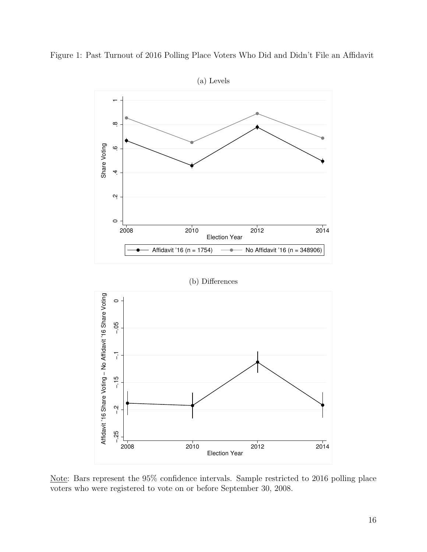<span id="page-16-0"></span>



Note: Bars represent the 95% confidence intervals. Sample restricted to 2016 polling place voters who were registered to vote on or before September 30, 2008.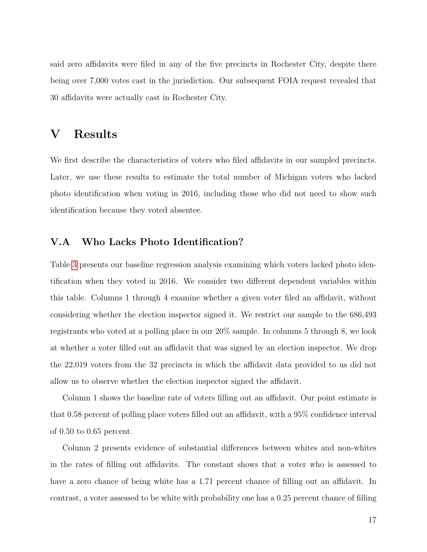said zero affidavits were filed in any of the five precincts in Rochester City, despite there being over 7,000 votes cast in the jurisdiction. Our subsequent FOIA request revealed that 30 affidavits were actually cast in Rochester City.

## V Results

We first describe the characteristics of voters who filed affidavits in our sampled precincts. Later, we use these results to estimate the total number of Michigan voters who lacked photo identification when voting in 2016, including those who did not need to show such identification because they voted absentee.

### V.A Who Lacks Photo Identification?

Table [3](#page-18-0) presents our baseline regression analysis examining which voters lacked photo identification when they voted in 2016. We consider two different dependent variables within this table. Columns 1 through 4 examine whether a given voter filed an affidavit, without considering whether the election inspector signed it. We restrict our sample to the 686,493 registrants who voted at a polling place in our 20% sample. In columns 5 through 8, we look at whether a voter filled out an affidavit that was signed by an election inspector. We drop the 22,019 voters from the 32 precincts in which the affidavit data provided to us did not allow us to observe whether the election inspector signed the affidavit.

Column 1 shows the baseline rate of voters filling out an affidavit. Our point estimate is that 0.58 percent of polling place voters filled out an affidavit, with a 95% confidence interval of 0.50 to 0.65 percent.

Column 2 presents evidence of substantial differences between whites and non-whites in the rates of filling out affidavits. The constant shows that a voter who is assessed to have a zero chance of being white has a 1.71 percent chance of filling out an affidavit. In contrast, a voter assessed to be white with probability one has a 0.25 percent chance of filling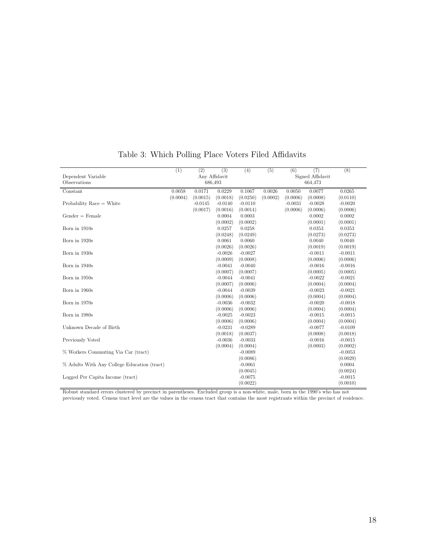<span id="page-18-0"></span>

|                                             | (1)                      | $\overline{(2)}$ | (3)       | $\overline{(4)}$ | (5)      | (6)       | (7)              | (8)       |  |  |  |
|---------------------------------------------|--------------------------|------------------|-----------|------------------|----------|-----------|------------------|-----------|--|--|--|
| Dependent Variable                          | Any Affidavit<br>686,493 |                  |           |                  |          |           | Signed Affidavit |           |  |  |  |
| Observations                                |                          |                  |           |                  |          |           | 664,473          |           |  |  |  |
| Constant                                    | 0.0058                   | 0.0171           | 0.0229    | 0.1067           | 0.0026   | 0.0050    | 0.0077           | 0.0265    |  |  |  |
|                                             | (0.0004)                 | (0.0015)         | (0.0018)  | (0.0250)         | (0.0002) | (0.0006)  | (0.0008)         | (0.0110)  |  |  |  |
| Probability Race $=$ White                  |                          | $-0.0145$        | $-0.0140$ | $-0.0110$        |          | $-0.0031$ | $-0.0028$        | $-0.0020$ |  |  |  |
|                                             |                          | (0.0017)         | (0.0016)  | (0.0014)         |          | (0.0006)  | (0.0006)         | (0.0006)  |  |  |  |
| $Gender = Female$                           |                          |                  | 0.0004    | 0.0003           |          |           | 0.0002           | 0.0002    |  |  |  |
|                                             |                          |                  | (0.0002)  | (0.0002)         |          |           | (0.0001)         | (0.0001)  |  |  |  |
| Born in 1910s                               |                          |                  | 0.0257    | 0.0258           |          |           | 0.0353           | 0.0353    |  |  |  |
|                                             |                          |                  | (0.0248)  | (0.0249)         |          |           | (0.0273)         | (0.0273)  |  |  |  |
| Born in 1920s                               |                          |                  | 0.0061    | 0.0060           |          |           | 0.0040           | 0.0040    |  |  |  |
|                                             |                          |                  | (0.0026)  | (0.0026)         |          |           | (0.0019)         | (0.0019)  |  |  |  |
| Born in 1930s                               |                          |                  | $-0.0026$ | $-0.0027$        |          |           | $-0.0011$        | $-0.0011$ |  |  |  |
|                                             |                          |                  | (0.0009)  | (0.0008)         |          |           | (0.0006)         | (0.0006)  |  |  |  |
| Born in 1940s                               |                          |                  | $-0.0041$ | $-0.0040$        |          |           | $-0.0016$        | $-0.0016$ |  |  |  |
|                                             |                          |                  | (0.0007)  | (0.0007)         |          |           | (0.0005)         | (0.0005)  |  |  |  |
| Born in 1950s                               |                          |                  | $-0.0044$ | $-0.0041$        |          |           | $-0.0022$        | $-0.0021$ |  |  |  |
|                                             |                          |                  | (0.0007)  | (0.0006)         |          |           | (0.0004)         | (0.0004)  |  |  |  |
| Born in 1960s                               |                          |                  | $-0.0044$ | $-0.0039$        |          |           | $-0.0023$        | $-0.0021$ |  |  |  |
|                                             |                          |                  | (0.0006)  | (0.0006)         |          |           | (0.0004)         | (0.0004)  |  |  |  |
| Born in 1970s                               |                          |                  | $-0.0036$ | $-0.0032$        |          |           | $-0.0020$        | $-0.0018$ |  |  |  |
|                                             |                          |                  | (0.0006)  | (0.0006)         |          |           | (0.0004)         | (0.0004)  |  |  |  |
| Born in 1980s                               |                          |                  | $-0.0025$ | $-0.0023$        |          |           | $-0.0015$        | $-0.0015$ |  |  |  |
|                                             |                          |                  | (0.0006)  | (0.0006)         |          |           | (0.0004)         | (0.0004)  |  |  |  |
| Unknown Decade of Birth                     |                          |                  | $-0.0231$ | $-0.0289$        |          |           | $-0.0077$        | $-0.0109$ |  |  |  |
|                                             |                          |                  | (0.0018)  | (0.0037)         |          |           | (0.0008)         | (0.0018)  |  |  |  |
| Previously Voted                            |                          |                  | $-0.0036$ | $-0.0033$        |          |           | $-0.0016$        | $-0.0015$ |  |  |  |
|                                             |                          |                  | (0.0004)  | (0.0004)         |          |           | (0.0003)         | (0.0002)  |  |  |  |
| % Workers Commuting Via Car (tract)         |                          |                  |           | $-0.0089$        |          |           |                  | $-0.0053$ |  |  |  |
|                                             |                          |                  |           | (0.0086)         |          |           |                  | (0.0029)  |  |  |  |
| % Adults With Any College Education (tract) |                          |                  |           | $-0.0061$        |          |           |                  | 0.0004    |  |  |  |
|                                             |                          |                  |           | (0.0045)         |          |           |                  | (0.0024)  |  |  |  |
| Logged Per Capita Income (tract)            |                          |                  |           | $-0.0075$        |          |           |                  | $-0.0015$ |  |  |  |
|                                             |                          |                  |           | (0.0022)         |          |           |                  | (0.0010)  |  |  |  |

### Table 3: Which Polling Place Voters Filed Affidavits

Robust standard errors clustered by precinct in parentheses. Excluded group is a non-white, male, born in the 1990's who has not previously voted. Census tract level are the values in the census tract that contains the most registrants within the precinct of residence.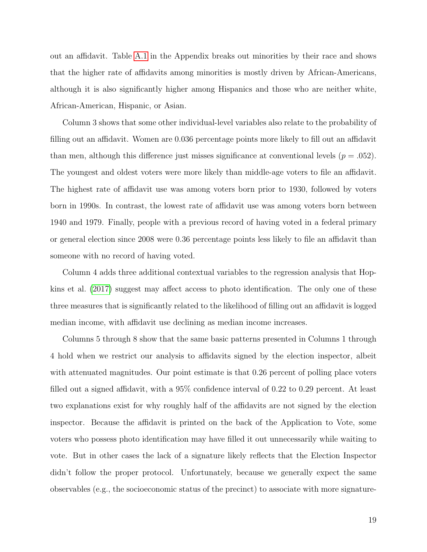out an affidavit. Table [A.1](#page-35-0) in the Appendix breaks out minorities by their race and shows that the higher rate of affidavits among minorities is mostly driven by African-Americans, although it is also significantly higher among Hispanics and those who are neither white, African-American, Hispanic, or Asian.

Column 3 shows that some other individual-level variables also relate to the probability of filling out an affidavit. Women are 0.036 percentage points more likely to fill out an affidavit than men, although this difference just misses significance at conventional levels  $(p=.052)$ . The youngest and oldest voters were more likely than middle-age voters to file an affidavit. The highest rate of affidavit use was among voters born prior to 1930, followed by voters born in 1990s. In contrast, the lowest rate of affidavit use was among voters born between 1940 and 1979. Finally, people with a previous record of having voted in a federal primary or general election since 2008 were 0.36 percentage points less likely to file an affidavit than someone with no record of having voted.

Column 4 adds three additional contextual variables to the regression analysis that Hopkins et al. [\(2017\)](#page-33-1) suggest may affect access to photo identification. The only one of these three measures that is significantly related to the likelihood of filling out an affidavit is logged median income, with affidavit use declining as median income increases.

Columns 5 through 8 show that the same basic patterns presented in Columns 1 through 4 hold when we restrict our analysis to affidavits signed by the election inspector, albeit with attenuated magnitudes. Our point estimate is that 0.26 percent of polling place voters filled out a signed affidavit, with a 95% confidence interval of 0.22 to 0.29 percent. At least two explanations exist for why roughly half of the affidavits are not signed by the election inspector. Because the affidavit is printed on the back of the Application to Vote, some voters who possess photo identification may have filled it out unnecessarily while waiting to vote. But in other cases the lack of a signature likely reflects that the Election Inspector didn't follow the proper protocol. Unfortunately, because we generally expect the same observables (e.g., the socioeconomic status of the precinct) to associate with more signature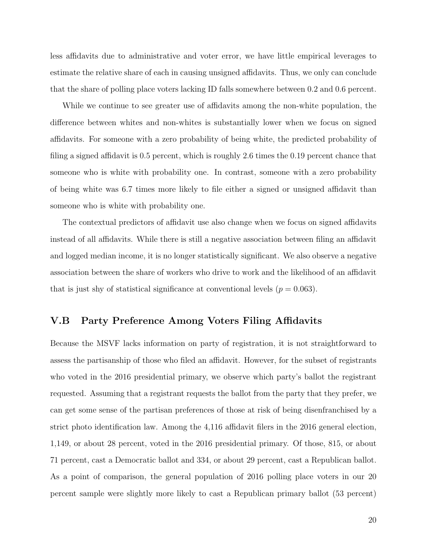less affidavits due to administrative and voter error, we have little empirical leverages to estimate the relative share of each in causing unsigned affidavits. Thus, we only can conclude that the share of polling place voters lacking ID falls somewhere between 0.2 and 0.6 percent.

While we continue to see greater use of affidavits among the non-white population, the difference between whites and non-whites is substantially lower when we focus on signed affidavits. For someone with a zero probability of being white, the predicted probability of filing a signed affidavit is 0.5 percent, which is roughly 2.6 times the 0.19 percent chance that someone who is white with probability one. In contrast, someone with a zero probability of being white was 6.7 times more likely to file either a signed or unsigned affidavit than someone who is white with probability one.

The contextual predictors of affidavit use also change when we focus on signed affidavits instead of all affidavits. While there is still a negative association between filing an affidavit and logged median income, it is no longer statistically significant. We also observe a negative association between the share of workers who drive to work and the likelihood of an affidavit that is just shy of statistical significance at conventional levels ( $p = 0.063$ ).

#### V.B Party Preference Among Voters Filing Affidavits

Because the MSVF lacks information on party of registration, it is not straightforward to assess the partisanship of those who filed an affidavit. However, for the subset of registrants who voted in the 2016 presidential primary, we observe which party's ballot the registrant requested. Assuming that a registrant requests the ballot from the party that they prefer, we can get some sense of the partisan preferences of those at risk of being disenfranchised by a strict photo identification law. Among the 4,116 affidavit filers in the 2016 general election, 1,149, or about 28 percent, voted in the 2016 presidential primary. Of those, 815, or about 71 percent, cast a Democratic ballot and 334, or about 29 percent, cast a Republican ballot. As a point of comparison, the general population of 2016 polling place voters in our 20 percent sample were slightly more likely to cast a Republican primary ballot (53 percent)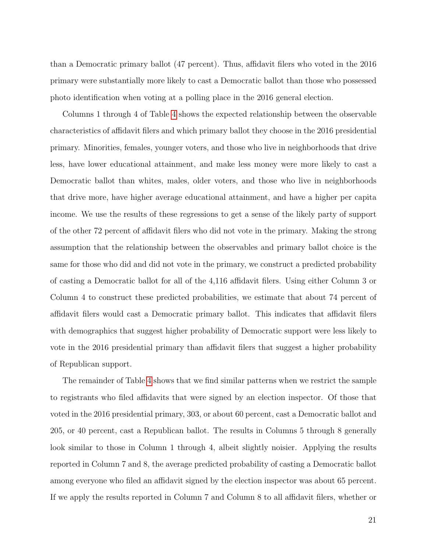than a Democratic primary ballot (47 percent). Thus, affidavit filers who voted in the 2016 primary were substantially more likely to cast a Democratic ballot than those who possessed photo identification when voting at a polling place in the 2016 general election.

Columns 1 through 4 of Table [4](#page-22-0) shows the expected relationship between the observable characteristics of affidavit filers and which primary ballot they choose in the 2016 presidential primary. Minorities, females, younger voters, and those who live in neighborhoods that drive less, have lower educational attainment, and make less money were more likely to cast a Democratic ballot than whites, males, older voters, and those who live in neighborhoods that drive more, have higher average educational attainment, and have a higher per capita income. We use the results of these regressions to get a sense of the likely party of support of the other 72 percent of affidavit filers who did not vote in the primary. Making the strong assumption that the relationship between the observables and primary ballot choice is the same for those who did and did not vote in the primary, we construct a predicted probability of casting a Democratic ballot for all of the 4,116 affidavit filers. Using either Column 3 or Column 4 to construct these predicted probabilities, we estimate that about 74 percent of affidavit filers would cast a Democratic primary ballot. This indicates that affidavit filers with demographics that suggest higher probability of Democratic support were less likely to vote in the 2016 presidential primary than affidavit filers that suggest a higher probability of Republican support.

The remainder of Table [4](#page-22-0) shows that we find similar patterns when we restrict the sample to registrants who filed affidavits that were signed by an election inspector. Of those that voted in the 2016 presidential primary, 303, or about 60 percent, cast a Democratic ballot and 205, or 40 percent, cast a Republican ballot. The results in Columns 5 through 8 generally look similar to those in Column 1 through 4, albeit slightly noisier. Applying the results reported in Column 7 and 8, the average predicted probability of casting a Democratic ballot among everyone who filed an affidavit signed by the election inspector was about 65 percent. If we apply the results reported in Column 7 and Column 8 to all affidavit filers, whether or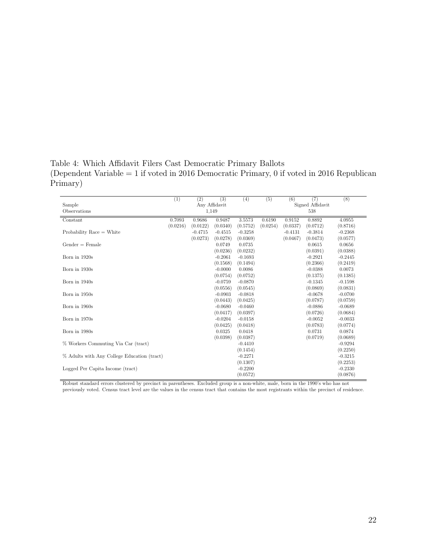<span id="page-22-0"></span>Table 4: Which Affidavit Filers Cast Democratic Primary Ballots (Dependent Variable = 1 if voted in 2016 Democratic Primary, 0 if voted in 2016 Republican Primary)

|                                                             | (1)           | (2)       | (3)       | (4)       | (5)      | (6)       | (7)                                                                    | (8)       |
|-------------------------------------------------------------|---------------|-----------|-----------|-----------|----------|-----------|------------------------------------------------------------------------|-----------|
| Sample                                                      | Any Affidavit |           |           |           |          |           | Signed Affidavit                                                       |           |
| Observations                                                |               |           | 1,149     |           |          |           | 538                                                                    |           |
| Constant                                                    | 0.7093        | 0.9686    | 0.9487    | 3.5573    | 0.6190   | 0.9152    | 0.8892                                                                 | 4.0955    |
|                                                             | (0.0216)      | (0.0122)  | (0.0340)  | (0.5752)  | (0.0254) | (0.0337)  | (0.0712)                                                               | (0.8716)  |
| Probability Race $=$ White                                  |               | $-0.4715$ | $-0.4515$ | $-0.3258$ |          | $-0.4131$ | $-0.3814$                                                              | $-0.2368$ |
|                                                             |               | (0.0273)  | (0.0278)  | (0.0369)  |          | (0.0467)  | (0.0473)                                                               | (0.0577)  |
| $Gender = Female$                                           |               |           | 0.0749    | 0.0735    |          |           | 0.0615                                                                 | 0.0656    |
|                                                             |               |           | (0.0236)  | (0.0232)  |          |           | (0.0391)                                                               | (0.0388)  |
| Born in 1920s                                               |               |           | $-0.2061$ | $-0.1693$ |          |           | $-0.2921$                                                              | $-0.2445$ |
|                                                             |               |           | (0.1568)  | (0.1494)  |          |           | (0.2366)                                                               | (0.2419)  |
| Born in 1930s                                               |               |           | $-0.0000$ | 0.0086    |          |           | $-0.0388$                                                              | 0.0073    |
|                                                             |               |           | (0.0754)  | (0.0752)  |          |           | (0.1375)                                                               | (0.1385)  |
| Born in 1940s                                               |               |           | $-0.0759$ | $-0.0870$ |          |           | $-0.1345$                                                              | $-0.1598$ |
|                                                             |               |           | (0.0556)  | (0.0545)  |          |           | (0.0869)                                                               | (0.0831)  |
| Born in 1950s                                               |               |           | $-0.0903$ | $-0.0818$ |          |           | $-0.0678$                                                              | $-0.0700$ |
|                                                             |               |           | (0.0443)  | (0.0425)  |          |           | (0.0787)                                                               | (0.0759)  |
| Born in 1960s                                               |               |           | $-0.0680$ | $-0.0460$ |          |           | $-0.0886$                                                              | $-0.0689$ |
|                                                             |               |           | (0.0417)  | (0.0397)  |          |           | (0.0726)                                                               | (0.0684)  |
| Born in 1970s                                               |               |           | $-0.0204$ | $-0.0158$ |          |           | $-0.0052$                                                              | $-0.0033$ |
|                                                             |               |           | (0.0425)  | (0.0418)  |          |           | (0.0783)                                                               | (0.0774)  |
| Born in 1980s                                               |               |           | 0.0325    | 0.0418    |          |           | 0.0731                                                                 | 0.0874    |
|                                                             |               |           | (0.0398)  | (0.0387)  |          |           | (0.0719)                                                               | (0.0689)  |
| % Workers Commuting Via Car (tract)                         |               |           |           | $-0.4410$ |          |           |                                                                        | $-0.9294$ |
|                                                             |               |           |           | (0.1454)  |          |           |                                                                        | (0.2250)  |
| % Adults with Any College Education (tract)                 |               |           |           | $-0.2271$ |          |           |                                                                        | $-0.3215$ |
|                                                             |               |           |           | (0.1307)  |          |           |                                                                        | (0.2253)  |
| Logged Per Capita Income (tract)                            |               |           |           | $-0.2200$ |          |           |                                                                        | $-0.2330$ |
|                                                             |               |           |           | (0.0572)  |          |           |                                                                        | (0.0876)  |
| Delayer area dead annual dearned because that in a country- |               |           |           |           |          |           | Forded del mone to a new solite angle home to the 1000's soles has not |           |

Robust standard errors clustered by precinct in parentheses. Excluded group is a non-white, male, born in the 1990's who has not previously voted. Census tract level are the values in the census tract that contains the most registrants within the precinct of residence.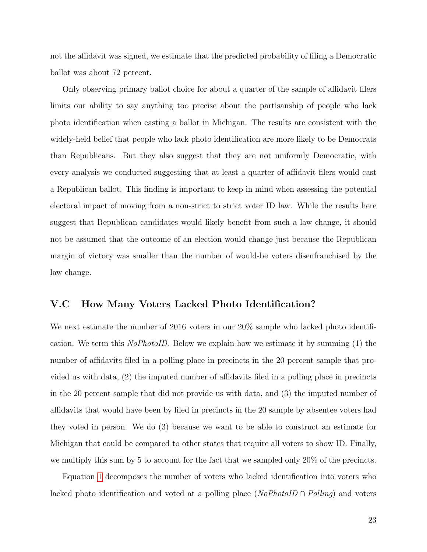not the affidavit was signed, we estimate that the predicted probability of filing a Democratic ballot was about 72 percent.

Only observing primary ballot choice for about a quarter of the sample of affidavit filers limits our ability to say anything too precise about the partisanship of people who lack photo identification when casting a ballot in Michigan. The results are consistent with the widely-held belief that people who lack photo identification are more likely to be Democrats than Republicans. But they also suggest that they are not uniformly Democratic, with every analysis we conducted suggesting that at least a quarter of affidavit filers would cast a Republican ballot. This finding is important to keep in mind when assessing the potential electoral impact of moving from a non-strict to strict voter ID law. While the results here suggest that Republican candidates would likely benefit from such a law change, it should not be assumed that the outcome of an election would change just because the Republican margin of victory was smaller than the number of would-be voters disenfranchised by the law change.

### V.C How Many Voters Lacked Photo Identification?

We next estimate the number of 2016 voters in our 20% sample who lacked photo identification. We term this *NoPhotoID*. Below we explain how we estimate it by summing  $(1)$  the number of affidavits filed in a polling place in precincts in the 20 percent sample that provided us with data, (2) the imputed number of affidavits filed in a polling place in precincts in the 20 percent sample that did not provide us with data, and (3) the imputed number of affidavits that would have been by filed in precincts in the 20 sample by absentee voters had they voted in person. We do (3) because we want to be able to construct an estimate for Michigan that could be compared to other states that require all voters to show ID. Finally, we multiply this sum by 5 to account for the fact that we sampled only 20% of the precincts.

Equation [1](#page-24-0) decomposes the number of voters who lacked identification into voters who lacked photo identification and voted at a polling place ( $NoPhotolD \cap Polling$ ) and voters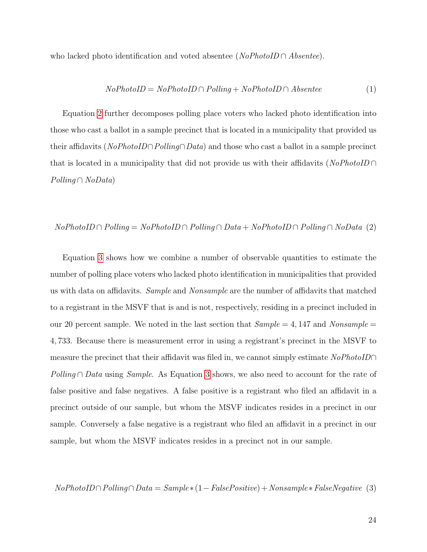who lacked photo identification and voted absentee ( $NoPhotoID \cap Absente$ ).

<span id="page-24-0"></span>
$$
NoPhotoID = NoPhotoID \cap Polling + NoPhotoID \cap Absentee
$$
 (1)

Equation [2](#page-24-1) further decomposes polling place voters who lacked photo identification into those who cast a ballot in a sample precinct that is located in a municipality that provided us their affidavits (NoPhotoID∩Polling∩Data) and those who cast a ballot in a sample precinct that is located in a municipality that did not provide us with their affidavits ( $NoPhotoID \cap$ Polling ∩ NoData)

#### <span id="page-24-1"></span> $NoPhotoID \cap Polling = NoPhotoID \cap Polling \cap Data + NoPhotoID \cap Polling \cap NoData (2)$

Equation [3](#page-24-2) shows how we combine a number of observable quantities to estimate the number of polling place voters who lacked photo identification in municipalities that provided us with data on affidavits. Sample and Nonsample are the number of affidavits that matched to a registrant in the MSVF that is and is not, respectively, residing in a precinct included in our 20 percent sample. We noted in the last section that  $Sample = 4,147$  and  $Nonsample =$ 4, 733. Because there is measurement error in using a registrant's precinct in the MSVF to measure the precinct that their affidavit was filed in, we cannot simply estimate  $NoPhotoID \cap$ Polling ∩ Data using Sample. As Equation [3](#page-24-2) shows, we also need to account for the rate of false positive and false negatives. A false positive is a registrant who filed an affidavit in a precinct outside of our sample, but whom the MSVF indicates resides in a precinct in our sample. Conversely a false negative is a registrant who filed an affidavit in a precinct in our sample, but whom the MSVF indicates resides in a precinct not in our sample.

<span id="page-24-2"></span>
$$
NoPhotoID \cap Polling \cap Data = Sample*(1 - FalsePositive) + Nonsample * FalseNegative
$$
 (3)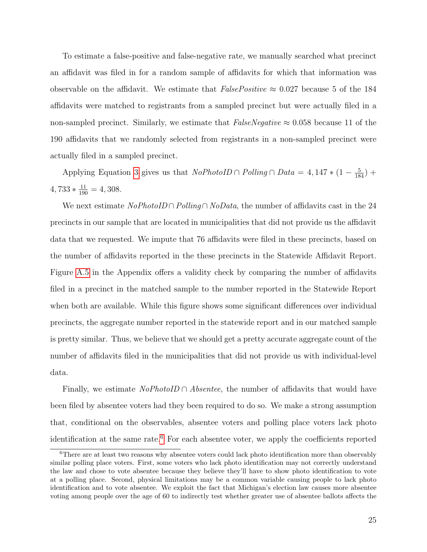To estimate a false-positive and false-negative rate, we manually searched what precinct an affidavit was filed in for a random sample of affidavits for which that information was observable on the affidavit. We estimate that  $FalsePositive \approx 0.027$  because 5 of the 184 affidavits were matched to registrants from a sampled precinct but were actually filed in a non-sampled precinct. Similarly, we estimate that  $FalseNegative \approx 0.058$  because 11 of the 190 affidavits that we randomly selected from registrants in a non-sampled precinct were actually filed in a sampled precinct.

Applying Equation [3](#page-24-2) gives us that  $NoPhotoID \cap Polling \cap Data = 4, 147 * (1 - \frac{5}{184}) +$  $4,733*\frac{11}{190} = 4,308.$ 

We next estimate  $NoPhotoID \cap Polling \cap NoData$ , the number of affidavits cast in the 24 precincts in our sample that are located in municipalities that did not provide us the affidavit data that we requested. We impute that 76 affidavits were filed in these precincts, based on the number of affidavits reported in the these precincts in the Statewide Affidavit Report. Figure [A.5](#page-40-0) in the Appendix offers a validity check by comparing the number of affidavits filed in a precinct in the matched sample to the number reported in the Statewide Report when both are available. While this figure shows some significant differences over individual precincts, the aggregate number reported in the statewide report and in our matched sample is pretty similar. Thus, we believe that we should get a pretty accurate aggregate count of the number of affidavits filed in the municipalities that did not provide us with individual-level data.

Finally, we estimate  $NoPhotoID \cap Absente$ , the number of affidavits that would have been filed by absentee voters had they been required to do so. We make a strong assumption that, conditional on the observables, absentee voters and polling place voters lack photo identification at the same rate.<sup>[6](#page-25-0)</sup> For each absentee voter, we apply the coefficients reported

<span id="page-25-0"></span><sup>&</sup>lt;sup>6</sup>There are at least two reasons why absentee voters could lack photo identification more than observably similar polling place voters. First, some voters who lack photo identification may not correctly understand the law and chose to vote absentee because they believe they'll have to show photo identification to vote at a polling place. Second, physical limitations may be a common variable causing people to lack photo identification and to vote absentee. We exploit the fact that Michigan's election law causes more absentee voting among people over the age of 60 to indirectly test whether greater use of absentee ballots affects the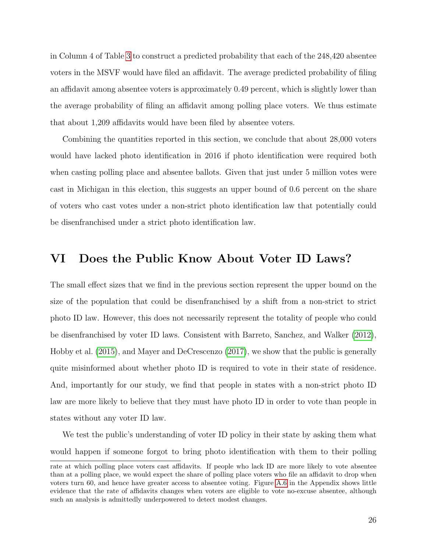in Column 4 of Table [3](#page-18-0) to construct a predicted probability that each of the 248,420 absentee voters in the MSVF would have filed an affidavit. The average predicted probability of filing an affidavit among absentee voters is approximately 0.49 percent, which is slightly lower than the average probability of filing an affidavit among polling place voters. We thus estimate that about 1,209 affidavits would have been filed by absentee voters.

Combining the quantities reported in this section, we conclude that about 28,000 voters would have lacked photo identification in 2016 if photo identification were required both when casting polling place and absentee ballots. Given that just under 5 million votes were cast in Michigan in this election, this suggests an upper bound of 0.6 percent on the share of voters who cast votes under a non-strict photo identification law that potentially could be disenfranchised under a strict photo identification law.

## <span id="page-26-0"></span>VI Does the Public Know About Voter ID Laws?

The small effect sizes that we find in the previous section represent the upper bound on the size of the population that could be disenfranchised by a shift from a non-strict to strict photo ID law. However, this does not necessarily represent the totality of people who could be disenfranchised by voter ID laws. Consistent with Barreto, Sanchez, and Walker [\(2012\)](#page-32-9), Hobby et al. [\(2015\)](#page-33-3), and Mayer and DeCrescenzo [\(2017\)](#page-33-4), we show that the public is generally quite misinformed about whether photo ID is required to vote in their state of residence. And, importantly for our study, we find that people in states with a non-strict photo ID law are more likely to believe that they must have photo ID in order to vote than people in states without any voter ID law.

We test the public's understanding of voter ID policy in their state by asking them what would happen if someone forgot to bring photo identification with them to their polling

rate at which polling place voters cast affidavits. If people who lack ID are more likely to vote absentee than at a polling place, we would expect the share of polling place voters who file an affidavit to drop when voters turn 60, and hence have greater access to absentee voting. Figure [A.6](#page-41-0) in the Appendix shows little evidence that the rate of affidavits changes when voters are eligible to vote no-excuse absentee, although such an analysis is admittedly underpowered to detect modest changes.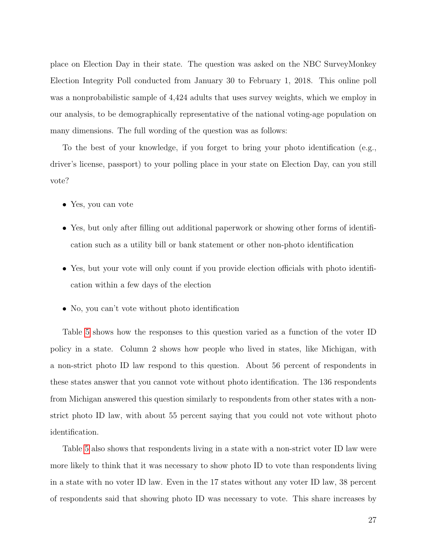place on Election Day in their state. The question was asked on the NBC SurveyMonkey Election Integrity Poll conducted from January 30 to February 1, 2018. This online poll was a nonprobabilistic sample of 4,424 adults that uses survey weights, which we employ in our analysis, to be demographically representative of the national voting-age population on many dimensions. The full wording of the question was as follows:

To the best of your knowledge, if you forget to bring your photo identification (e.g., driver's license, passport) to your polling place in your state on Election Day, can you still vote?

- Yes, you can vote
- Yes, but only after filling out additional paperwork or showing other forms of identification such as a utility bill or bank statement or other non-photo identification
- Yes, but your vote will only count if you provide election officials with photo identification within a few days of the election
- No, you can't vote without photo identification

Table [5](#page-28-0) shows how the responses to this question varied as a function of the voter ID policy in a state. Column 2 shows how people who lived in states, like Michigan, with a non-strict photo ID law respond to this question. About 56 percent of respondents in these states answer that you cannot vote without photo identification. The 136 respondents from Michigan answered this question similarly to respondents from other states with a nonstrict photo ID law, with about 55 percent saying that you could not vote without photo identification.

Table [5](#page-28-0) also shows that respondents living in a state with a non-strict voter ID law were more likely to think that it was necessary to show photo ID to vote than respondents living in a state with no voter ID law. Even in the 17 states without any voter ID law, 38 percent of respondents said that showing photo ID was necessary to vote. This share increases by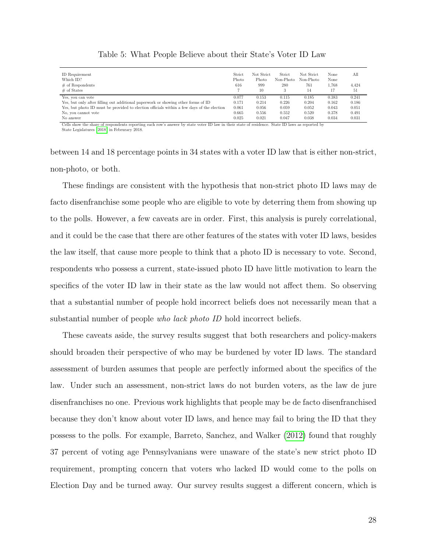<span id="page-28-0"></span>

| ID Requirement<br>Which ID?<br>$\#$ of Respondents<br>$#$ of States                                                                             | Strict<br>Photo<br>616 | Not Strict<br>Photo<br>999<br>10 | Strict<br>Non-Photo<br>280 | Not Strict<br>Non-Photo<br>761<br>14 | None<br>None<br>1.768<br>17 | All<br>4.424<br>51 |
|-------------------------------------------------------------------------------------------------------------------------------------------------|------------------------|----------------------------------|----------------------------|--------------------------------------|-----------------------------|--------------------|
| Yes, you can vote<br>Yes, but only after filling out additional paperwork or showing other forms of ID                                          | 0.077<br>0.171         | 0.153<br>0.214                   | 0.115<br>0.226             | 0.185<br>0.204                       | 0.383<br>0.162              | 0.241<br>0.186     |
| Yes, but photo ID must be provided to election officials within a few days of the election                                                      | 0.061                  | 0.056                            | 0.059                      | 0.052                                | 0.043                       | 0.051              |
| No, you cannot vote                                                                                                                             | 0.665                  | 0.556                            | 0.552                      | 0.520                                | 0.378                       | 0.491              |
| No answer                                                                                                                                       | 0.025                  | 0.021                            | 0.047                      | 0.038                                | 0.034                       | 0.031              |
| Cells show the share of respondents reporting each row's answer by state voter ID law in their state of residence. State ID laws as reported by |                        |                                  |                            |                                      |                             |                    |

Table 5: What People Believe about their State's Voter ID Law

State Legislatures [\(2018\)](#page-34-4) in Februrary 2018.

between 14 and 18 percentage points in 34 states with a voter ID law that is either non-strict, non-photo, or both.

These findings are consistent with the hypothesis that non-strict photo ID laws may de facto disenfranchise some people who are eligible to vote by deterring them from showing up to the polls. However, a few caveats are in order. First, this analysis is purely correlational, and it could be the case that there are other features of the states with voter ID laws, besides the law itself, that cause more people to think that a photo ID is necessary to vote. Second, respondents who possess a current, state-issued photo ID have little motivation to learn the specifics of the voter ID law in their state as the law would not affect them. So observing that a substantial number of people hold incorrect beliefs does not necessarily mean that a substantial number of people *who lack photo ID* hold incorrect beliefs.

These caveats aside, the survey results suggest that both researchers and policy-makers should broaden their perspective of who may be burdened by voter ID laws. The standard assessment of burden assumes that people are perfectly informed about the specifics of the law. Under such an assessment, non-strict laws do not burden voters, as the law de jure disenfranchises no one. Previous work highlights that people may be de facto disenfranchised because they don't know about voter ID laws, and hence may fail to bring the ID that they possess to the polls. For example, Barreto, Sanchez, and Walker [\(2012\)](#page-32-9) found that roughly 37 percent of voting age Pennsylvanians were unaware of the state's new strict photo ID requirement, prompting concern that voters who lacked ID would come to the polls on Election Day and be turned away. Our survey results suggest a different concern, which is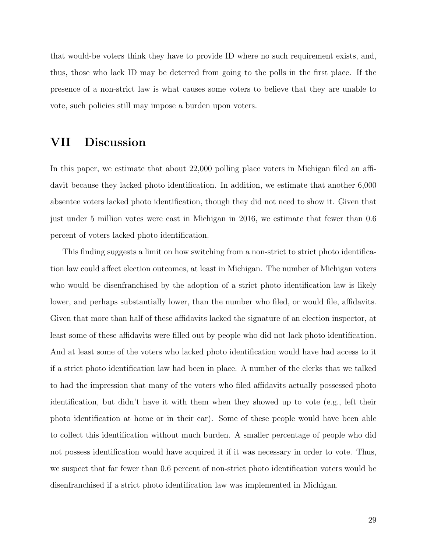that would-be voters think they have to provide ID where no such requirement exists, and, thus, those who lack ID may be deterred from going to the polls in the first place. If the presence of a non-strict law is what causes some voters to believe that they are unable to vote, such policies still may impose a burden upon voters.

## VII Discussion

In this paper, we estimate that about 22,000 polling place voters in Michigan filed an affidavit because they lacked photo identification. In addition, we estimate that another 6,000 absentee voters lacked photo identification, though they did not need to show it. Given that just under 5 million votes were cast in Michigan in 2016, we estimate that fewer than 0.6 percent of voters lacked photo identification.

This finding suggests a limit on how switching from a non-strict to strict photo identification law could affect election outcomes, at least in Michigan. The number of Michigan voters who would be disenfranchised by the adoption of a strict photo identification law is likely lower, and perhaps substantially lower, than the number who filed, or would file, affidavits. Given that more than half of these affidavits lacked the signature of an election inspector, at least some of these affidavits were filled out by people who did not lack photo identification. And at least some of the voters who lacked photo identification would have had access to it if a strict photo identification law had been in place. A number of the clerks that we talked to had the impression that many of the voters who filed affidavits actually possessed photo identification, but didn't have it with them when they showed up to vote (e.g., left their photo identification at home or in their car). Some of these people would have been able to collect this identification without much burden. A smaller percentage of people who did not possess identification would have acquired it if it was necessary in order to vote. Thus, we suspect that far fewer than 0.6 percent of non-strict photo identification voters would be disenfranchised if a strict photo identification law was implemented in Michigan.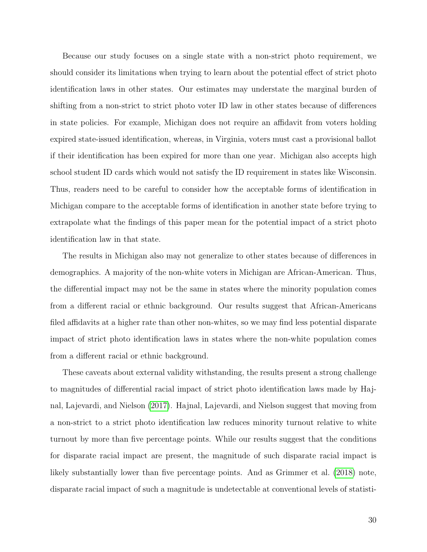Because our study focuses on a single state with a non-strict photo requirement, we should consider its limitations when trying to learn about the potential effect of strict photo identification laws in other states. Our estimates may understate the marginal burden of shifting from a non-strict to strict photo voter ID law in other states because of differences in state policies. For example, Michigan does not require an affidavit from voters holding expired state-issued identification, whereas, in Virginia, voters must cast a provisional ballot if their identification has been expired for more than one year. Michigan also accepts high school student ID cards which would not satisfy the ID requirement in states like Wisconsin. Thus, readers need to be careful to consider how the acceptable forms of identification in Michigan compare to the acceptable forms of identification in another state before trying to extrapolate what the findings of this paper mean for the potential impact of a strict photo identification law in that state.

The results in Michigan also may not generalize to other states because of differences in demographics. A majority of the non-white voters in Michigan are African-American. Thus, the differential impact may not be the same in states where the minority population comes from a different racial or ethnic background. Our results suggest that African-Americans filed affidavits at a higher rate than other non-whites, so we may find less potential disparate impact of strict photo identification laws in states where the non-white population comes from a different racial or ethnic background.

These caveats about external validity withstanding, the results present a strong challenge to magnitudes of differential racial impact of strict photo identification laws made by Hajnal, Lajevardi, and Nielson [\(2017\)](#page-33-2). Hajnal, Lajevardi, and Nielson suggest that moving from a non-strict to a strict photo identification law reduces minority turnout relative to white turnout by more than five percentage points. While our results suggest that the conditions for disparate racial impact are present, the magnitude of such disparate racial impact is likely substantially lower than five percentage points. And as Grimmer et al. [\(2018\)](#page-33-9) note, disparate racial impact of such a magnitude is undetectable at conventional levels of statisti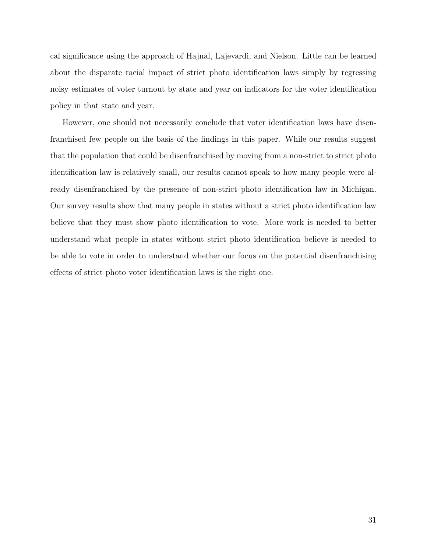cal significance using the approach of Hajnal, Lajevardi, and Nielson. Little can be learned about the disparate racial impact of strict photo identification laws simply by regressing noisy estimates of voter turnout by state and year on indicators for the voter identification policy in that state and year.

However, one should not necessarily conclude that voter identification laws have disenfranchised few people on the basis of the findings in this paper. While our results suggest that the population that could be disenfranchised by moving from a non-strict to strict photo identification law is relatively small, our results cannot speak to how many people were already disenfranchised by the presence of non-strict photo identification law in Michigan. Our survey results show that many people in states without a strict photo identification law believe that they must show photo identification to vote. More work is needed to better understand what people in states without strict photo identification believe is needed to be able to vote in order to understand whether our focus on the potential disenfranchising effects of strict photo voter identification laws is the right one.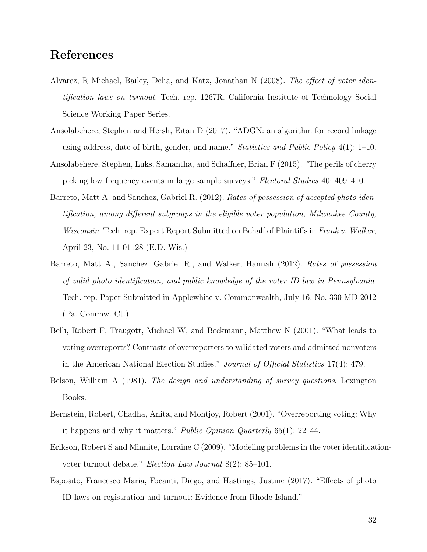## References

- <span id="page-32-3"></span>Alvarez, R Michael, Bailey, Delia, and Katz, Jonathan N (2008). The effect of voter identification laws on turnout. Tech. rep. 1267R. California Institute of Technology Social Science Working Paper Series.
- <span id="page-32-1"></span>Ansolabehere, Stephen and Hersh, Eitan D (2017). "ADGN: an algorithm for record linkage using address, date of birth, gender, and name." *Statistics and Public Policy*  $4(1)$ : 1–10.
- <span id="page-32-5"></span>Ansolabehere, Stephen, Luks, Samantha, and Schaffner, Brian F (2015). "The perils of cherry picking low frequency events in large sample surveys." Electoral Studies 40: 409–410.
- <span id="page-32-2"></span>Barreto, Matt A. and Sanchez, Gabriel R. (2012). Rates of possession of accepted photo identification, among different subgroups in the eligible voter population, Milwaukee County, Wisconsin. Tech. rep. Expert Report Submitted on Behalf of Plaintiffs in Frank v. Walker, April 23, No. 11-01128 (E.D. Wis.)
- <span id="page-32-9"></span>Barreto, Matt A., Sanchez, Gabriel R., and Walker, Hannah (2012). Rates of possession of valid photo identification, and public knowledge of the voter ID law in Pennsylvania. Tech. rep. Paper Submitted in Applewhite v. Commonwealth, July 16, No. 330 MD 2012 (Pa. Commw. Ct.)
- <span id="page-32-8"></span>Belli, Robert F, Traugott, Michael W, and Beckmann, Matthew N (2001). "What leads to voting overreports? Contrasts of overreporters to validated voters and admitted nonvoters in the American National Election Studies." Journal of Official Statistics 17(4): 479.
- <span id="page-32-6"></span>Belson, William A (1981). The design and understanding of survey questions. Lexington Books.
- <span id="page-32-7"></span>Bernstein, Robert, Chadha, Anita, and Montjoy, Robert (2001). "Overreporting voting: Why it happens and why it matters." *Public Opinion Quarterly*  $65(1)$ : 22–44.
- <span id="page-32-0"></span>Erikson, Robert S and Minnite, Lorraine C (2009). "Modeling problems in the voter identificationvoter turnout debate." Election Law Journal 8(2): 85–101.
- <span id="page-32-4"></span>Esposito, Francesco Maria, Focanti, Diego, and Hastings, Justine (2017). "Effects of photo ID laws on registration and turnout: Evidence from Rhode Island."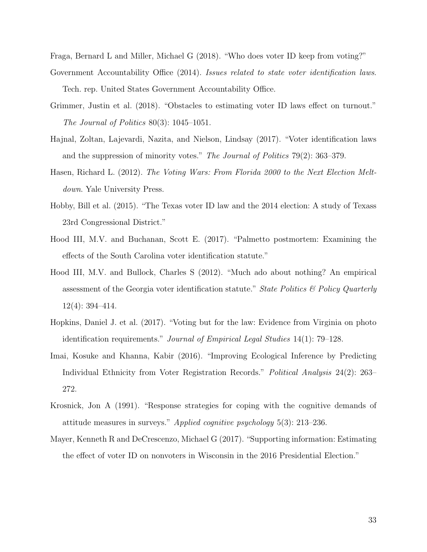<span id="page-33-10"></span><span id="page-33-7"></span>Fraga, Bernard L and Miller, Michael G (2018). "Who does voter ID keep from voting?"

- Government Accountability Office (2014). Issues related to state voter identification laws. Tech. rep. United States Government Accountability Office.
- <span id="page-33-9"></span>Grimmer, Justin et al. (2018). "Obstacles to estimating voter ID laws effect on turnout." The Journal of Politics 80(3): 1045–1051.
- <span id="page-33-2"></span>Hajnal, Zoltan, Lajevardi, Nazita, and Nielson, Lindsay (2017). "Voter identification laws and the suppression of minority votes." The Journal of Politics 79(2): 363–379.
- <span id="page-33-0"></span>Hasen, Richard L. (2012). The Voting Wars: From Florida 2000 to the Next Election Meltdown. Yale University Press.
- <span id="page-33-3"></span>Hobby, Bill et al. (2015). "The Texas voter ID law and the 2014 election: A study of Texass 23rd Congressional District."
- <span id="page-33-6"></span>Hood III, M.V. and Buchanan, Scott E. (2017). "Palmetto postmortem: Examining the effects of the South Carolina voter identification statute."
- <span id="page-33-5"></span>Hood III, M.V. and Bullock, Charles S (2012). "Much ado about nothing? An empirical assessment of the Georgia voter identification statute." State Politics  $\mathcal{B}'$  Policy Quarterly 12(4): 394–414.
- <span id="page-33-1"></span>Hopkins, Daniel J. et al. (2017). "Voting but for the law: Evidence from Virginia on photo identification requirements." Journal of Empirical Legal Studies 14(1): 79–128.
- <span id="page-33-11"></span>Imai, Kosuke and Khanna, Kabir (2016). "Improving Ecological Inference by Predicting Individual Ethnicity from Voter Registration Records." Political Analysis 24(2): 263– 272.
- <span id="page-33-8"></span>Krosnick, Jon A (1991). "Response strategies for coping with the cognitive demands of attitude measures in surveys." Applied cognitive psychology  $5(3)$ : 213–236.
- <span id="page-33-4"></span>Mayer, Kenneth R and DeCrescenzo, Michael G (2017). "Supporting information: Estimating the effect of voter ID on nonvoters in Wisconsin in the 2016 Presidential Election."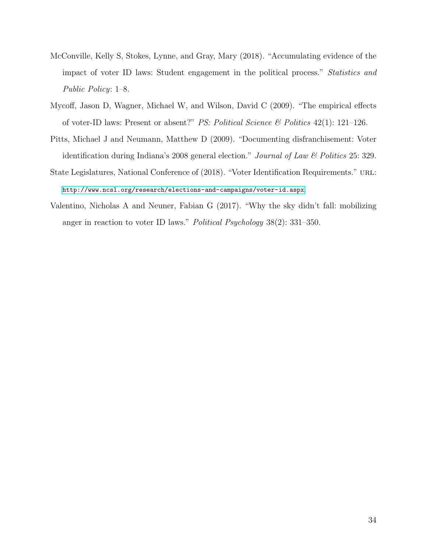- <span id="page-34-3"></span>McConville, Kelly S, Stokes, Lynne, and Gray, Mary (2018). "Accumulating evidence of the impact of voter ID laws: Student engagement in the political process." Statistics and Public Policy: 1–8.
- <span id="page-34-2"></span>Mycoff, Jason D, Wagner, Michael W, and Wilson, David C (2009). "The empirical effects of voter-ID laws: Present or absent?" PS: Political Science & Politics 42(1): 121–126.
- <span id="page-34-0"></span>Pitts, Michael J and Neumann, Matthew D (2009). "Documenting disfranchisement: Voter identification during Indiana's 2008 general election." Journal of Law & Politics 25: 329.
- <span id="page-34-4"></span>State Legislatures, National Conference of (2018). "Voter Identification Requirements." URL: <http://www.ncsl.org/research/elections-and-campaigns/voter-id.aspx>.
- <span id="page-34-1"></span>Valentino, Nicholas A and Neuner, Fabian G (2017). "Why the sky didn't fall: mobilizing anger in reaction to voter ID laws." Political Psychology 38(2): 331–350.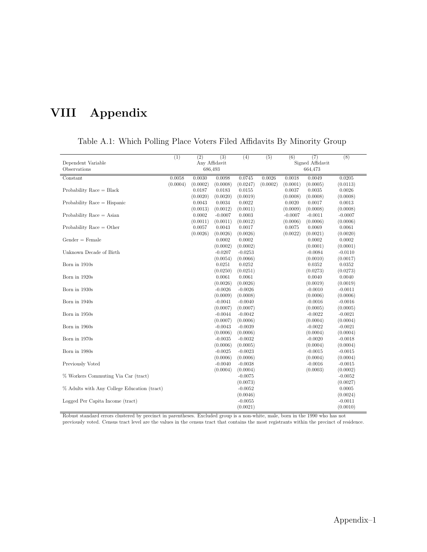# VIII Appendix

<span id="page-35-0"></span>

|                                             | (1)                | (2)      | $\overline{(3)}$ | (4)       | (5)      | (6)       | (7)              | (8)       |  |
|---------------------------------------------|--------------------|----------|------------------|-----------|----------|-----------|------------------|-----------|--|
| Dependent Variable                          | Any Affidavit      |          |                  |           |          |           | Signed Affidavit |           |  |
| Observations                                | 686,493<br>664,473 |          |                  |           |          |           |                  |           |  |
| Constant                                    | 0.0058             | 0.0030   | 0.0098           | 0.0745    | 0.0026   | 0.0018    | 0.0049           | 0.0205    |  |
|                                             | (0.0004)           | (0.0002) | (0.0008)         | (0.0247)  | (0.0002) | (0.0001)  | (0.0005)         | (0.0113)  |  |
| Probability Race $=$ Black                  |                    | 0.0187   | 0.0183           | 0.0155    |          | 0.0037    | 0.0035           | 0.0026    |  |
|                                             |                    | (0.0020) | (0.0020)         | (0.0019)  |          | (0.0008)  | (0.0008)         | (0.0008)  |  |
| Probability Race $=$ Hispanic               |                    | 0.0043   | 0.0034           | 0.0022    |          | 0.0020    | 0.0017           | 0.0013    |  |
|                                             |                    | (0.0013) | (0.0012)         | (0.0011)  |          | (0.0009)  | (0.0008)         | (0.0008)  |  |
| Probability Race $=$ Asian                  |                    | 0.0002   | $-0.0007$        | 0.0003    |          | $-0.0007$ | $-0.0011$        | $-0.0007$ |  |
|                                             |                    | (0.0011) | (0.0011)         | (0.0012)  |          | (0.0006)  | (0.0006)         | (0.0006)  |  |
| Probability Race $=$ Other                  |                    | 0.0057   | 0.0043           | 0.0017    |          | 0.0075    | 0.0069           | 0.0061    |  |
|                                             |                    | (0.0026) | (0.0026)         | (0.0026)  |          | (0.0022)  | (0.0021)         | (0.0020)  |  |
| $Gender = Female$                           |                    |          | 0.0002           | 0.0002    |          |           | 0.0002           | 0.0002    |  |
|                                             |                    |          | (0.0002)         | (0.0002)  |          |           | (0.0001)         | (0.0001)  |  |
| Unknown Decade of Birth                     |                    |          | $-0.0207$        | $-0.0253$ |          |           | $-0.0084$        | $-0.0110$ |  |
|                                             |                    |          | (0.0054)         | (0.0066)  |          |           | (0.0010)         | (0.0017)  |  |
| Born in 1910s                               |                    |          | 0.0251           | 0.0252    |          |           | 0.0352           | 0.0352    |  |
|                                             |                    |          | (0.0250)         | (0.0251)  |          |           | (0.0273)         | (0.0273)  |  |
| Born in 1920s                               |                    |          | 0.0061           | 0.0061    |          |           | 0.0040           | 0.0040    |  |
|                                             |                    |          | (0.0026)         | (0.0026)  |          |           | (0.0019)         | (0.0019)  |  |
| Born in 1930s                               |                    |          | $-0.0026$        | $-0.0026$ |          |           | $-0.0010$        | $-0.0011$ |  |
|                                             |                    |          | (0.0009)         | (0.0008)  |          |           | (0.0006)         | (0.0006)  |  |
| Born in 1940s                               |                    |          | $-0.0041$        | $-0.0040$ |          |           | $-0.0016$        | $-0.0016$ |  |
|                                             |                    |          | (0.0007)         | (0.0007)  |          |           | (0.0005)         | (0.0005)  |  |
| Born in 1950s                               |                    |          | $-0.0044$        | $-0.0042$ |          |           | $-0.0022$        | $-0.0021$ |  |
|                                             |                    |          | (0.0007)         | (0.0006)  |          |           | (0.0004)         | (0.0004)  |  |
| Born in 1960s                               |                    |          | $-0.0043$        | $-0.0039$ |          |           | $-0.0022$        | $-0.0021$ |  |
|                                             |                    |          | (0.0006)         | (0.0006)  |          |           | (0.0004)         | (0.0004)  |  |
| Born in 1970s                               |                    |          | $-0.0035$        | $-0.0032$ |          |           | $-0.0020$        | $-0.0018$ |  |
|                                             |                    |          | (0.0006)         | (0.0005)  |          |           | (0.0004)         | (0.0004)  |  |
| Born in 1980s                               |                    |          | $-0.0025$        | $-0.0023$ |          |           | $-0.0015$        | $-0.0015$ |  |
|                                             |                    |          | (0.0006)         | (0.0006)  |          |           | (0.0004)         | (0.0004)  |  |
| Previously Voted                            |                    |          | $-0.0040$        | $-0.0038$ |          |           | $-0.0016$        | $-0.0015$ |  |
|                                             |                    |          | (0.0004)         | (0.0004)  |          |           | (0.0003)         | (0.0002)  |  |
| % Workers Commuting Via Car (tract)         |                    |          |                  | $-0.0075$ |          |           |                  | $-0.0052$ |  |
|                                             |                    |          |                  | (0.0073)  |          |           |                  | (0.0027)  |  |
| % Adults with Any College Education (tract) |                    |          |                  | $-0.0052$ |          |           |                  | 0.0005    |  |
|                                             |                    |          |                  | (0.0046)  |          |           |                  | (0.0024)  |  |
| Logged Per Capita Income (tract)            |                    |          |                  | $-0.0055$ |          |           |                  | $-0.0011$ |  |
|                                             |                    |          |                  | (0.0021)  |          |           |                  | (0.0010)  |  |

Table A.1: Which Polling Place Voters Filed Affidavits By Minority Group

Robust standard errors clustered by precinct in parentheses. Excluded group is a non-white, male, born in the 1990 who has not previously voted. Census tract level are the values in the census tract that contains the most registrants within the precinct of residence.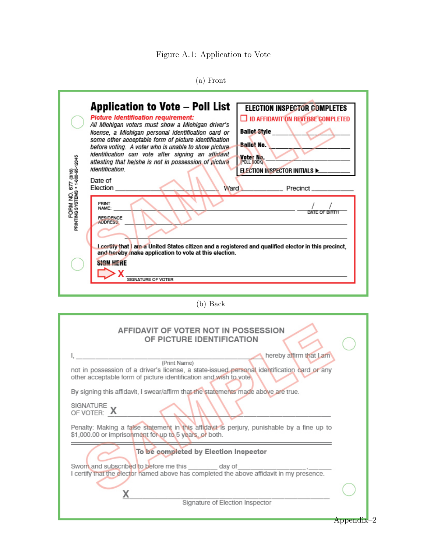Figure A.1: Application to Vote

|  | оm |
|--|----|
|--|----|

<span id="page-36-0"></span>

| <b>Application to Vote – Poll List</b><br><b>ELECTION INSPECTOR COMPLETES</b><br><b>Picture Identification requirement:</b><br>□ ID AFFIDAVIT ON REVERSE COMPLETED<br>All Michigan voters must show a Michigan driver's<br>Ballot Style<br>license, a Michigan personal identification card or<br>some other acceptable form of picture identification<br><b>Ballot No.</b><br>before voting. A voter who is unable to show picture<br>identification can vote after signing an affidavit<br>FORM NO. 677 (3/16)<br>PRINTING SYSTEMS + 1-800-95-12345<br>Voter No.<br>attesting that he/she is not in possession of picture<br>POLL BOOK<br>identification<br>ELECTION INSPECTOR INITIALS Decomposition<br>Date of<br>Election <sub>____</sub> __<br>Ward Precinct ________<br>PRINT<br>NAME:<br>DATE OF BIRTH<br><b>RESIDENCE</b><br><b>ADDRESS:</b><br>I certify that I am a United States citizen and a registered and qualified elector in this precinct,<br>and hereby make application to vote at this election.<br><b>SIGN HERE</b><br><u> 1989 - Johann Barbara, martxa alemaniar arg</u><br>SIGNATURE OF VOTER |
|-------------------------------------------------------------------------------------------------------------------------------------------------------------------------------------------------------------------------------------------------------------------------------------------------------------------------------------------------------------------------------------------------------------------------------------------------------------------------------------------------------------------------------------------------------------------------------------------------------------------------------------------------------------------------------------------------------------------------------------------------------------------------------------------------------------------------------------------------------------------------------------------------------------------------------------------------------------------------------------------------------------------------------------------------------------------------------------------------------------------------|
| $(b)$ Back                                                                                                                                                                                                                                                                                                                                                                                                                                                                                                                                                                                                                                                                                                                                                                                                                                                                                                                                                                                                                                                                                                              |
| AFFIDAVIT OF VOTER NOT IN POSSESSION<br>OF PICTURE IDENTIFICATION<br>hereby affirm that Lam<br>(Print Name)<br>not in possession of a driver's license, a state-issued personal identification card or any<br>other acceptable form of picture identification and wish to vote.<br>By signing this affidavit, I swear/affirm that the statements made above are true.<br>SIGNATURE V<br>OF VOTER: A<br>Penalty: Making a false statement in this affidavit is perjury, punishable by a fine up to<br>\$1,000.00 or imprisonment for up to 5 years, or both.                                                                                                                                                                                                                                                                                                                                                                                                                                                                                                                                                             |
| To be completed by Election Inspector<br>Sworn and subscribed to before me this day of                                                                                                                                                                                                                                                                                                                                                                                                                                                                                                                                                                                                                                                                                                                                                                                                                                                                                                                                                                                                                                  |
| I certify that the elector named above has completed the above affidavit in my presence.                                                                                                                                                                                                                                                                                                                                                                                                                                                                                                                                                                                                                                                                                                                                                                                                                                                                                                                                                                                                                                |
| х<br>Signature of Election Inspector                                                                                                                                                                                                                                                                                                                                                                                                                                                                                                                                                                                                                                                                                                                                                                                                                                                                                                                                                                                                                                                                                    |
| $Appendix-2$                                                                                                                                                                                                                                                                                                                                                                                                                                                                                                                                                                                                                                                                                                                                                                                                                                                                                                                                                                                                                                                                                                            |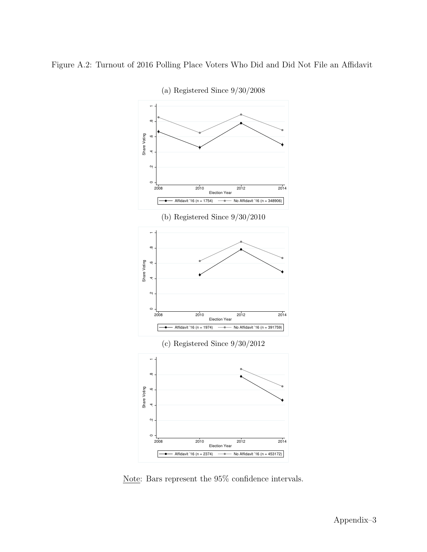<span id="page-37-0"></span>



(a) Registered Since 9/30/2008

Note: Bars represent the 95% confidence intervals.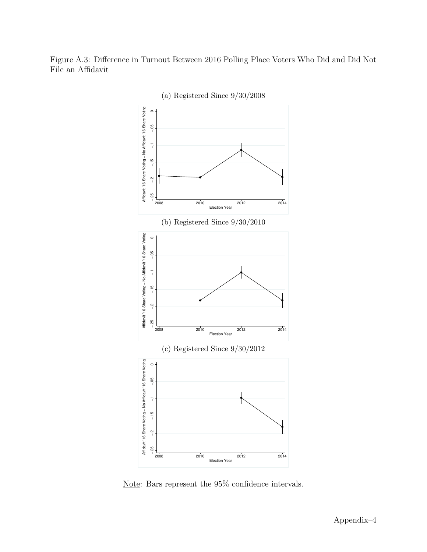<span id="page-38-0"></span>Figure A.3: Difference in Turnout Between 2016 Polling Place Voters Who Did and Did Not File an Affidavit



Note: Bars represent the 95% confidence intervals.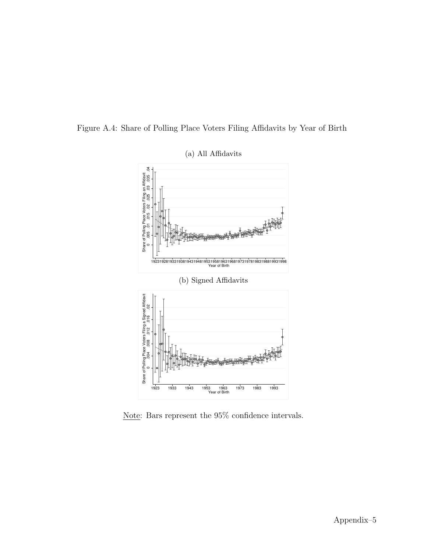

<span id="page-39-0"></span>Figure A.4: Share of Polling Place Voters Filing Affidavits by Year of Birth

Note: Bars represent the 95% confidence intervals.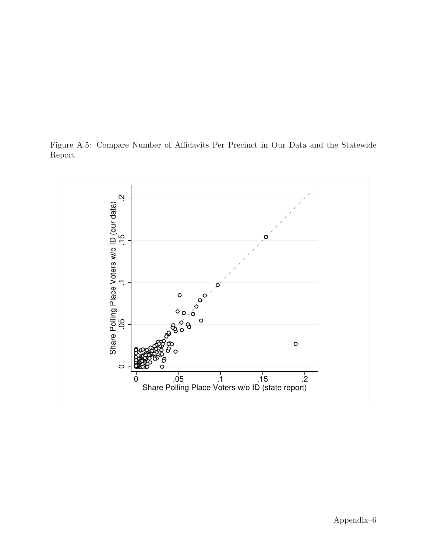<span id="page-40-0"></span>Figure A.5: Compare Number of Affidavits Per Precinct in Our Data and the Statewide Report